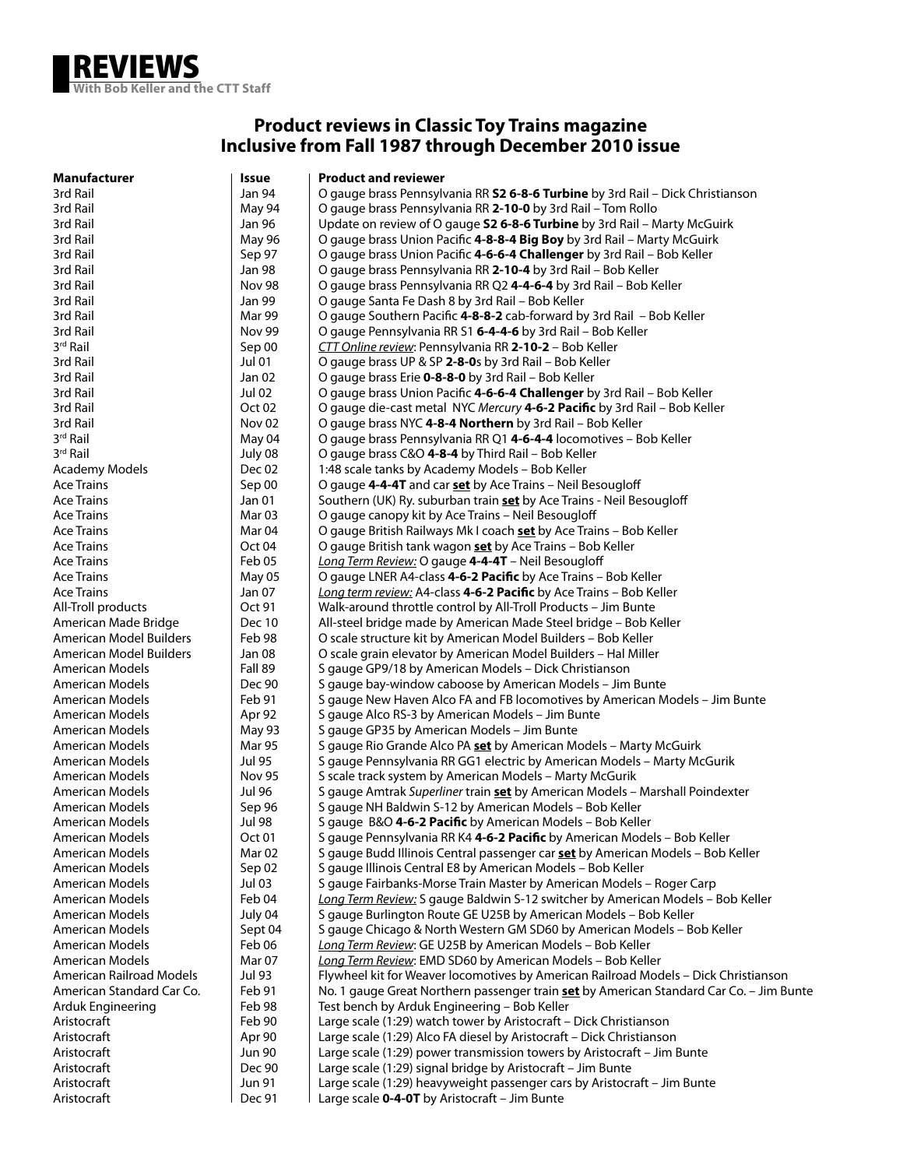

## **Product reviews in Classic Toy Trains magazine Inclusive from Fall 1987 through December 2010 issue**

| Manufacturer              | Issue             | <b>Product and reviewer</b>                                                                    |
|---------------------------|-------------------|------------------------------------------------------------------------------------------------|
| 3rd Rail                  | Jan 94            | O gauge brass Pennsylvania RR 52 6-8-6 Turbine by 3rd Rail – Dick Christianson                 |
| 3rd Rail                  | May 94            | O gauge brass Pennsylvania RR 2-10-0 by 3rd Rail – Tom Rollo                                   |
| 3rd Rail                  | Jan 96            | Update on review of O gauge S2 6-8-6 Turbine by 3rd Rail - Marty McGuirk                       |
| 3rd Rail                  | May 96            | O gauge brass Union Pacific 4-8-8-4 Big Boy by 3rd Rail - Marty McGuirk                        |
| 3rd Rail                  | Sep 97            | O gauge brass Union Pacific 4-6-6-4 Challenger by 3rd Rail – Bob Keller                        |
| 3rd Rail                  | Jan 98            | O gauge brass Pennsylvania RR 2-10-4 by 3rd Rail - Bob Keller                                  |
| 3rd Rail                  | <b>Nov 98</b>     | O gauge brass Pennsylvania RR Q2 4-4-6-4 by 3rd Rail – Bob Keller                              |
| 3rd Rail                  | Jan 99            | O gauge Santa Fe Dash 8 by 3rd Rail - Bob Keller                                               |
| 3rd Rail                  | Mar 99            | O gauge Southern Pacific 4-8-8-2 cab-forward by 3rd Rail – Bob Keller                          |
| 3rd Rail                  | Nov 99            | O gauge Pennsylvania RR S1 6-4-4-6 by 3rd Rail – Bob Keller                                    |
| 3 <sup>rd</sup> Rail      | Sep 00            | CTT Online review: Pennsylvania RR 2-10-2 - Bob Keller                                         |
| 3rd Rail                  | Jul 01            | O gauge brass UP & SP 2-8-0s by 3rd Rail - Bob Keller                                          |
| 3rd Rail                  | Jan 02            | O gauge brass Erie 0-8-8-0 by 3rd Rail - Bob Keller                                            |
| 3rd Rail                  | Jul 02            | O gauge brass Union Pacific 4-6-6-4 Challenger by 3rd Rail – Bob Keller                        |
| 3rd Rail                  | Oct 02            | O gauge die-cast metal NYC Mercury 4-6-2 Pacific by 3rd Rail - Bob Keller                      |
| 3rd Rail                  | Nov <sub>02</sub> | O gauge brass NYC 4-8-4 Northern by 3rd Rail - Bob Keller                                      |
| 3rd Rail                  | May 04            | O gauge brass Pennsylvania RR Q1 4-6-4-4 locomotives - Bob Keller                              |
| 3 <sup>rd</sup> Rail      | July 08           | O gauge brass C&O 4-8-4 by Third Rail - Bob Keller                                             |
| <b>Academy Models</b>     | Dec 02            | 1:48 scale tanks by Academy Models - Bob Keller                                                |
| Ace Trains                | Sep 00            | O gauge 4-4-4T and car set by Ace Trains – Neil Besougloff                                     |
| <b>Ace Trains</b>         | Jan 01            | Southern (UK) Ry. suburban train set by Ace Trains - Neil Besougloff                           |
| Ace Trains                | Mar 03            | O gauge canopy kit by Ace Trains - Neil Besougloff                                             |
| Ace Trains                | Mar 04            | O gauge British Railways Mk I coach set by Ace Trains - Bob Keller                             |
| Ace Trains                | Oct 04            | O gauge British tank wagon <b>set</b> by Ace Trains – Bob Keller                               |
| Ace Trains                | Feb 05            | Long Term Review: O gauge 4-4-4T - Neil Besougloff                                             |
| Ace Trains                | <b>May 05</b>     | O gauge LNER A4-class 4-6-2 Pacific by Ace Trains - Bob Keller                                 |
| Ace Trains                | Jan 07            | Long term review: A4-class 4-6-2 Pacific by Ace Trains - Bob Keller                            |
| All-Troll products        | Oct 91            | Walk-around throttle control by All-Troll Products - Jim Bunte                                 |
| American Made Bridge      | Dec 10            | All-steel bridge made by American Made Steel bridge - Bob Keller                               |
| American Model Builders   | Feb 98            | O scale structure kit by American Model Builders - Bob Keller                                  |
| American Model Builders   | Jan 08            | O scale grain elevator by American Model Builders - Hal Miller                                 |
| American Models           | Fall 89           | S gauge GP9/18 by American Models - Dick Christianson                                          |
| American Models           | Dec 90            | S gauge bay-window caboose by American Models – Jim Bunte                                      |
| American Models           | Feb 91            | S gauge New Haven Alco FA and FB locomotives by American Models - Jim Bunte                    |
| American Models           | Apr 92            | S gauge Alco RS-3 by American Models – Jim Bunte                                               |
| American Models           | May 93            | S gauge GP35 by American Models - Jim Bunte                                                    |
| American Models           | <b>Mar 95</b>     | S gauge Rio Grande Alco PA <b>set</b> by American Models - Marty McGuirk                       |
| American Models           | Jul 95            | S gauge Pennsylvania RR GG1 electric by American Models - Marty McGurik                        |
| American Models           | <b>Nov 95</b>     | S scale track system by American Models - Marty McGurik                                        |
| American Models           | Jul 96            | S gauge Amtrak Superliner train set by American Models - Marshall Poindexter                   |
| American Models           | Sep 96            | S gauge NH Baldwin S-12 by American Models - Bob Keller                                        |
| American Models           | Jul 98            | S gauge B&O 4-6-2 Pacific by American Models – Bob Keller                                      |
| American Models           | Oct 01            | S gauge Pennsylvania RR K4 4-6-2 Pacific by American Models - Bob Keller                       |
| American Models           | Mar 02            | S gauge Budd Illinois Central passenger car set by American Models - Bob Keller                |
| <b>American Models</b>    | Sep 02            | S gauge Illinois Central E8 by American Models - Bob Keller                                    |
| American Models           | Jul 03            | S gauge Fairbanks-Morse Train Master by American Models - Roger Carp                           |
| American Models           | Feb 04            | Long Term Review: S gauge Baldwin S-12 switcher by American Models - Bob Keller                |
| American Models           | July 04           | S gauge Burlington Route GE U25B by American Models - Bob Keller                               |
| American Models           | Sept 04           | S gauge Chicago & North Western GM SD60 by American Models - Bob Keller                        |
| American Models           | Feb 06            | Long Term Review: GE U25B by American Models - Bob Keller                                      |
| <b>American Models</b>    | Mar <sub>07</sub> | Long Term Review: EMD SD60 by American Models - Bob Keller                                     |
| American Railroad Models  | Jul 93            | Flywheel kit for Weaver locomotives by American Railroad Models - Dick Christianson            |
| American Standard Car Co. | Feb 91            | No. 1 gauge Great Northern passenger train <b>set</b> by American Standard Car Co. - Jim Bunte |
| Arduk Engineering         | Feb 98            | Test bench by Arduk Engineering - Bob Keller                                                   |
| Aristocraft               | Feb 90            | Large scale (1:29) watch tower by Aristocraft - Dick Christianson                              |
| Aristocraft               | Apr 90            | Large scale (1:29) Alco FA diesel by Aristocraft - Dick Christianson                           |
| Aristocraft               | <b>Jun 90</b>     | Large scale (1:29) power transmission towers by Aristocraft - Jim Bunte                        |
| Aristocraft               | Dec 90            | Large scale (1:29) signal bridge by Aristocraft - Jim Bunte                                    |
| Aristocraft               | Jun 91            | Large scale (1:29) heavyweight passenger cars by Aristocraft - Jim Bunte                       |
| Aristocraft               | Dec 91            | Large scale 0-4-0T by Aristocraft - Jim Bunte                                                  |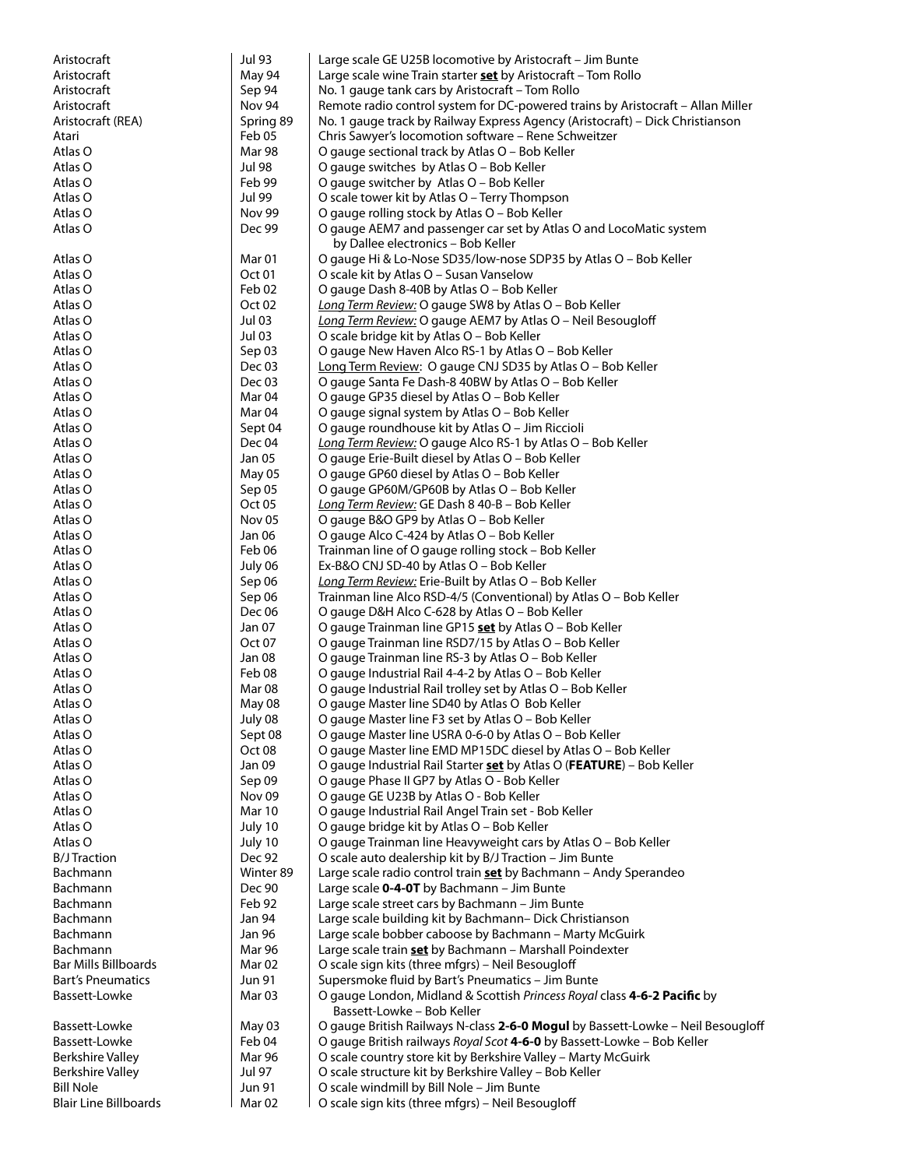| Aristocraft                  | <b>Jul 93</b>     | Large scale GE U25B locomotive by Aristocraft - Jim Bunte                                                |
|------------------------------|-------------------|----------------------------------------------------------------------------------------------------------|
| Aristocraft                  | May 94            | Large scale wine Train starter <b>set</b> by Aristocraft - Tom Rollo                                     |
| Aristocraft                  | Sep 94            | No. 1 gauge tank cars by Aristocraft - Tom Rollo                                                         |
| Aristocraft                  | Nov 94            | Remote radio control system for DC-powered trains by Aristocraft - Allan Miller                          |
| Aristocraft (REA)            | Spring 89         | No. 1 gauge track by Railway Express Agency (Aristocraft) - Dick Christianson                            |
| Atari                        | Feb 05            | Chris Sawyer's locomotion software - Rene Schweitzer                                                     |
| Atlas O                      | Mar 98            | O gauge sectional track by Atlas O - Bob Keller                                                          |
| Atlas O                      | <b>Jul 98</b>     | O gauge switches by Atlas O - Bob Keller                                                                 |
| Atlas O                      | Feb 99            | O gauge switcher by Atlas O - Bob Keller                                                                 |
| Atlas O                      | Jul 99            | O scale tower kit by Atlas O - Terry Thompson                                                            |
| Atlas O                      | Nov 99            | O gauge rolling stock by Atlas O - Bob Keller                                                            |
| Atlas O                      | Dec 99            | O gauge AEM7 and passenger car set by Atlas O and LocoMatic system<br>by Dallee electronics - Bob Keller |
| Atlas O                      | Mar <sub>01</sub> | O gauge Hi & Lo-Nose SD35/low-nose SDP35 by Atlas O - Bob Keller                                         |
| Atlas O                      | Oct <sub>01</sub> | O scale kit by Atlas O - Susan Vanselow                                                                  |
| Atlas O                      | Feb 02            | O gauge Dash 8-40B by Atlas O - Bob Keller                                                               |
| Atlas O                      | Oct <sub>02</sub> | Long Term Review: O gauge SW8 by Atlas O - Bob Keller                                                    |
| Atlas O                      | <b>Jul 03</b>     | Long Term Review: O gauge AEM7 by Atlas O - Neil Besougloff                                              |
| Atlas O                      | <b>Jul 03</b>     | O scale bridge kit by Atlas O - Bob Keller                                                               |
| Atlas O                      | Sep 03            | O gauge New Haven Alco RS-1 by Atlas O - Bob Keller                                                      |
| Atlas O                      | Dec 03            | Long Term Review: O gauge CNJ SD35 by Atlas O - Bob Keller                                               |
| Atlas O                      | Dec 03            | O gauge Santa Fe Dash-8 40BW by Atlas O - Bob Keller                                                     |
| Atlas O                      | Mar <sub>04</sub> | O gauge GP35 diesel by Atlas O - Bob Keller                                                              |
| Atlas O                      | Mar <sub>04</sub> | O gauge signal system by Atlas O - Bob Keller                                                            |
| Atlas O                      | Sept 04           | O gauge roundhouse kit by Atlas O - Jim Riccioli                                                         |
| Atlas O                      | Dec 04            | Long Term Review: O gauge Alco RS-1 by Atlas O - Bob Keller                                              |
| Atlas O                      | Jan 05            | O gauge Erie-Built diesel by Atlas O - Bob Keller                                                        |
| Atlas O                      | May 05            | O gauge GP60 diesel by Atlas O - Bob Keller                                                              |
| Atlas O                      | Sep 05            | O gauge GP60M/GP60B by Atlas O - Bob Keller                                                              |
| Atlas O                      | Oct <sub>05</sub> | Long Term Review: GE Dash 8 40-B - Bob Keller                                                            |
| Atlas O                      | Nov <sub>05</sub> | O gauge B&O GP9 by Atlas O - Bob Keller                                                                  |
| Atlas O                      | Jan 06            | O gauge Alco C-424 by Atlas O - Bob Keller                                                               |
| Atlas O                      | Feb 06            | Trainman line of O gauge rolling stock - Bob Keller                                                      |
| Atlas O                      | July 06           | Ex-B&O CNJ SD-40 by Atlas O - Bob Keller                                                                 |
| Atlas O                      | Sep 06            | Long Term Review: Erie-Built by Atlas O - Bob Keller                                                     |
| Atlas O                      | Sep 06            | Trainman line Alco RSD-4/5 (Conventional) by Atlas O – Bob Keller                                        |
| Atlas O                      | Dec 06            | O gauge D&H Alco C-628 by Atlas O - Bob Keller                                                           |
| Atlas O                      | Jan 07            | O gauge Trainman line GP15 set by Atlas O - Bob Keller                                                   |
| Atlas O                      | Oct 07            | O gauge Trainman line RSD7/15 by Atlas O - Bob Keller                                                    |
| Atlas O                      | Jan 08            | O gauge Trainman line RS-3 by Atlas O - Bob Keller                                                       |
| Atlas O                      | Feb 08            | O gauge Industrial Rail 4-4-2 by Atlas O - Bob Keller                                                    |
| Atlas O                      | Mar 08            | O gauge Industrial Rail trolley set by Atlas O - Bob Keller                                              |
| Atlas O                      | May 08            | O gauge Master line SD40 by Atlas O Bob Keller                                                           |
| Atlas O                      | July 08           | O gauge Master line F3 set by Atlas O - Bob Keller                                                       |
| Atlas O                      | Sept 08           | O gauge Master line USRA 0-6-0 by Atlas O - Bob Keller                                                   |
| Atlas O                      | Oct <sub>08</sub> | O gauge Master line EMD MP15DC diesel by Atlas O - Bob Keller                                            |
| Atlas O                      | Jan 09            | O gauge Industrial Rail Starter set by Atlas O (FEATURE) - Bob Keller                                    |
| Atlas O                      | Sep 09            | O gauge Phase II GP7 by Atlas O - Bob Keller                                                             |
| Atlas O                      | Nov <sub>09</sub> | O gauge GE U23B by Atlas O - Bob Keller                                                                  |
| Atlas O                      | Mar 10            | O gauge Industrial Rail Angel Train set - Bob Keller                                                     |
| Atlas O                      | July 10           | O gauge bridge kit by Atlas O - Bob Keller                                                               |
| Atlas O                      | July 10           | O gauge Trainman line Heavyweight cars by Atlas O - Bob Keller                                           |
| <b>B/J Traction</b>          | Dec 92            | O scale auto dealership kit by B/J Traction - Jim Bunte                                                  |
| Bachmann                     | Winter 89         | Large scale radio control train set by Bachmann - Andy Sperandeo                                         |
| Bachmann                     | Dec 90            | Large scale 0-4-0T by Bachmann - Jim Bunte                                                               |
| Bachmann                     | Feb 92            | Large scale street cars by Bachmann - Jim Bunte                                                          |
| Bachmann                     | Jan 94            | Large scale building kit by Bachmann- Dick Christianson                                                  |
| Bachmann                     | Jan 96            | Large scale bobber caboose by Bachmann - Marty McGuirk                                                   |
| Bachmann                     | Mar 96            | Large scale train set by Bachmann - Marshall Poindexter                                                  |
| <b>Bar Mills Billboards</b>  | Mar <sub>02</sub> | O scale sign kits (three mfgrs) - Neil Besougloff                                                        |
| <b>Bart's Pneumatics</b>     | Jun 91            | Supersmoke fluid by Bart's Pneumatics - Jim Bunte                                                        |
| Bassett-Lowke                | Mar 03            | O gauge London, Midland & Scottish Princess Royal class 4-6-2 Pacific by<br>Bassett-Lowke - Bob Keller   |
| Bassett-Lowke                | May 03            | O gauge British Railways N-class 2-6-0 Mogul by Bassett-Lowke - Neil Besougloff                          |
| Bassett-Lowke                | Feb 04            | O gauge British railways Royal Scot 4-6-0 by Bassett-Lowke - Bob Keller                                  |
| <b>Berkshire Valley</b>      | Mar 96            | O scale country store kit by Berkshire Valley - Marty McGuirk                                            |
| <b>Berkshire Valley</b>      | Jul 97            | O scale structure kit by Berkshire Valley - Bob Keller                                                   |
| <b>Bill Nole</b>             | Jun 91            | O scale windmill by Bill Nole - Jim Bunte                                                                |
| <b>Blair Line Billboards</b> | Mar <sub>02</sub> | O scale sign kits (three mfgrs) - Neil Besougloff                                                        |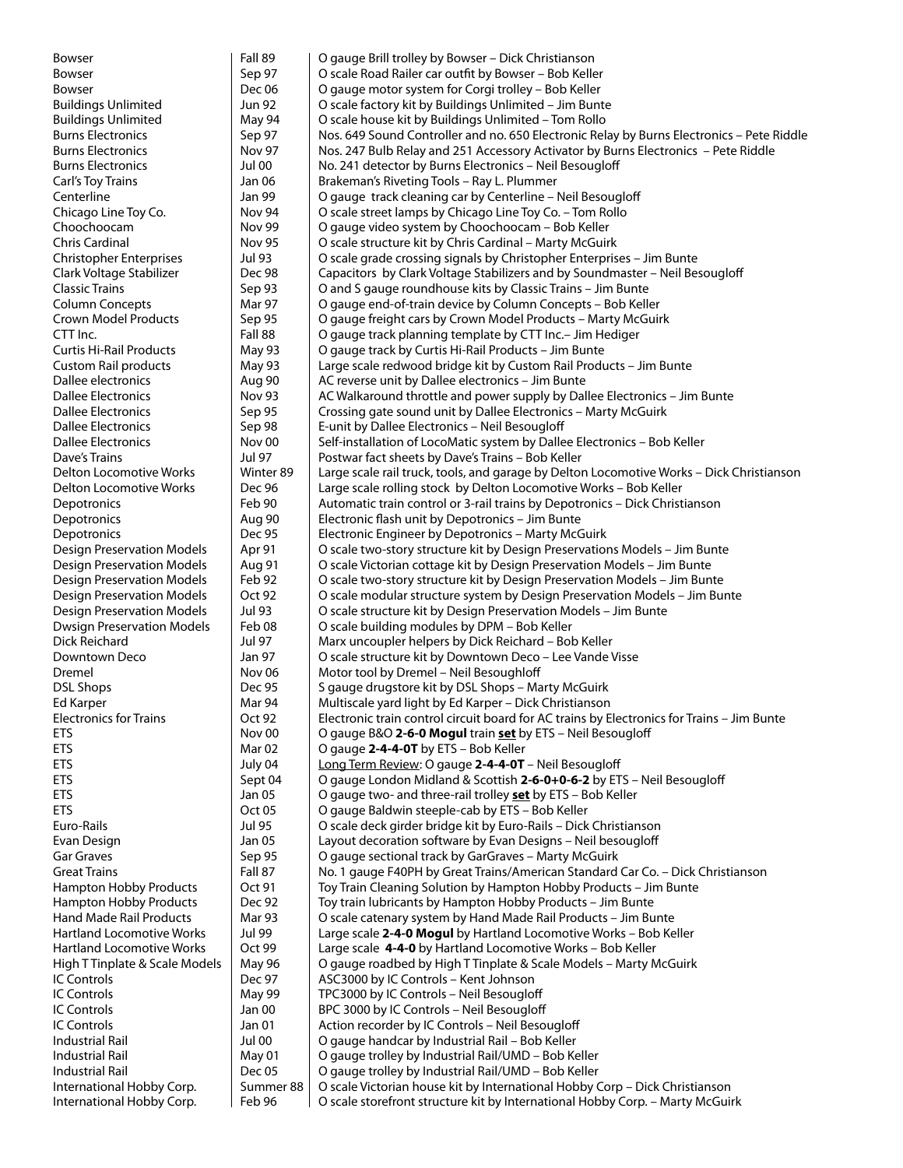| Bowser                            | Fall 89           | O gauge Brill trolley by Bowser - Dick Christianson                                        |
|-----------------------------------|-------------------|--------------------------------------------------------------------------------------------|
| <b>Bowser</b>                     | Sep 97            | O scale Road Railer car outfit by Bowser - Bob Keller                                      |
| Bowser                            | Dec 06            | O gauge motor system for Corgi trolley - Bob Keller                                        |
| <b>Buildings Unlimited</b>        | Jun 92            | O scale factory kit by Buildings Unlimited - Jim Bunte                                     |
| <b>Buildings Unlimited</b>        | May 94            | O scale house kit by Buildings Unlimited - Tom Rollo                                       |
| <b>Burns Electronics</b>          | Sep 97            | Nos. 649 Sound Controller and no. 650 Electronic Relay by Burns Electronics - Pete Riddle  |
| <b>Burns Electronics</b>          | <b>Nov 97</b>     | Nos. 247 Bulb Relay and 251 Accessory Activator by Burns Electronics - Pete Riddle         |
| <b>Burns Electronics</b>          | Jul 00            | No. 241 detector by Burns Electronics - Neil Besougloff                                    |
| Carl's Toy Trains                 | Jan 06            | Brakeman's Riveting Tools - Ray L. Plummer                                                 |
| Centerline                        | Jan 99            | O gauge track cleaning car by Centerline - Neil Besougloff                                 |
| Chicago Line Toy Co.              | Nov 94            | O scale street lamps by Chicago Line Toy Co. - Tom Rollo                                   |
| Choochoocam                       | <b>Nov 99</b>     | O gauge video system by Choochoocam – Bob Keller                                           |
| Chris Cardinal                    | <b>Nov 95</b>     | O scale structure kit by Chris Cardinal - Marty McGuirk                                    |
| <b>Christopher Enterprises</b>    | Jul 93            | O scale grade crossing signals by Christopher Enterprises - Jim Bunte                      |
| Clark Voltage Stabilizer          | Dec 98            | Capacitors by Clark Voltage Stabilizers and by Soundmaster – Neil Besougloff               |
| <b>Classic Trains</b>             | Sep 93            | O and S gauge roundhouse kits by Classic Trains - Jim Bunte                                |
| <b>Column Concepts</b>            | Mar 97            | O gauge end-of-train device by Column Concepts - Bob Keller                                |
| <b>Crown Model Products</b>       | Sep 95            | O gauge freight cars by Crown Model Products - Marty McGuirk                               |
| CTT Inc.                          | Fall 88           | O gauge track planning template by CTT Inc.- Jim Hediger                                   |
| <b>Curtis Hi-Rail Products</b>    |                   | O gauge track by Curtis Hi-Rail Products - Jim Bunte                                       |
|                                   | May 93            |                                                                                            |
| <b>Custom Rail products</b>       | May 93            | Large scale redwood bridge kit by Custom Rail Products - Jim Bunte                         |
| Dallee electronics                | Aug 90            | AC reverse unit by Dallee electronics - Jim Bunte                                          |
| Dallee Electronics                | <b>Nov 93</b>     | AC Walkaround throttle and power supply by Dallee Electronics – Jim Bunte                  |
| Dallee Electronics                | Sep 95            | Crossing gate sound unit by Dallee Electronics - Marty McGuirk                             |
| <b>Dallee Electronics</b>         | Sep 98            | E-unit by Dallee Electronics - Neil Besougloff                                             |
| <b>Dallee Electronics</b>         | Nov 00            | Self-installation of LocoMatic system by Dallee Electronics - Bob Keller                   |
| Dave's Trains                     | Jul 97            | Postwar fact sheets by Dave's Trains - Bob Keller                                          |
| Delton Locomotive Works           | Winter 89         | Large scale rail truck, tools, and garage by Delton Locomotive Works - Dick Christianson   |
| Delton Locomotive Works           | Dec 96            | Large scale rolling stock by Delton Locomotive Works - Bob Keller                          |
| Depotronics                       | Feb 90            | Automatic train control or 3-rail trains by Depotronics - Dick Christianson                |
| Depotronics                       | Aug 90            | Electronic flash unit by Depotronics - Jim Bunte                                           |
| Depotronics                       | <b>Dec 95</b>     | Electronic Engineer by Depotronics - Marty McGuirk                                         |
| <b>Design Preservation Models</b> | Apr 91            | O scale two-story structure kit by Design Preservations Models - Jim Bunte                 |
| <b>Design Preservation Models</b> | <b>Aug 91</b>     | O scale Victorian cottage kit by Design Preservation Models - Jim Bunte                    |
| <b>Design Preservation Models</b> | Feb 92            | O scale two-story structure kit by Design Preservation Models - Jim Bunte                  |
| <b>Design Preservation Models</b> | Oct 92            | O scale modular structure system by Design Preservation Models - Jim Bunte                 |
| <b>Design Preservation Models</b> | Jul 93            | O scale structure kit by Design Preservation Models - Jim Bunte                            |
| <b>Dwsign Preservation Models</b> | Feb 08            | O scale building modules by DPM - Bob Keller                                               |
| Dick Reichard                     | Jul 97            | Marx uncoupler helpers by Dick Reichard - Bob Keller                                       |
| Downtown Deco                     | Jan 97            | O scale structure kit by Downtown Deco - Lee Vande Visse                                   |
| Dremel                            | Nov <sub>06</sub> | Motor tool by Dremel - Neil Besoughloff                                                    |
| <b>DSL Shops</b>                  | Dec 95            | S gauge drugstore kit by DSL Shops - Marty McGuirk                                         |
| Ed Karper                         | Mar 94            | Multiscale yard light by Ed Karper - Dick Christianson                                     |
| <b>Electronics for Trains</b>     | Oct 92            | Electronic train control circuit board for AC trains by Electronics for Trains - Jim Bunte |
| ETS                               | Nov 00            | O gauge B&O 2-6-0 Mogul train set by ETS - Neil Besougloff                                 |
| <b>ETS</b>                        | Mar 02            | O gauge 2-4-4-0T by ETS - Bob Keller                                                       |
| ETS                               | July 04           | Long Term Review: O gauge 2-4-4-0T - Neil Besougloff                                       |
| <b>ETS</b>                        |                   | O gauge London Midland & Scottish 2-6-0+0-6-2 by ETS - Neil Besougloff                     |
|                                   | Sept 04<br>Jan 05 |                                                                                            |
| <b>ETS</b><br><b>ETS</b>          | Oct 05            | O gauge two- and three-rail trolley set by ETS - Bob Keller                                |
| Euro-Rails                        | Jul 95            | O gauge Baldwin steeple-cab by ETS - Bob Keller                                            |
|                                   |                   | O scale deck girder bridge kit by Euro-Rails - Dick Christianson                           |
| Evan Design                       | Jan 05            | Layout decoration software by Evan Designs - Neil besougloff                               |
| Gar Graves                        | Sep 95            | O gauge sectional track by GarGraves - Marty McGuirk                                       |
| <b>Great Trains</b>               | Fall 87           | No. 1 gauge F40PH by Great Trains/American Standard Car Co. - Dick Christianson            |
| Hampton Hobby Products            | Oct 91            | Toy Train Cleaning Solution by Hampton Hobby Products - Jim Bunte                          |
| Hampton Hobby Products            | Dec 92            | Toy train lubricants by Hampton Hobby Products - Jim Bunte                                 |
| <b>Hand Made Rail Products</b>    | <b>Mar 93</b>     | O scale catenary system by Hand Made Rail Products - Jim Bunte                             |
| Hartland Locomotive Works         | Jul 99            | Large scale 2-4-0 Mogul by Hartland Locomotive Works - Bob Keller                          |
| Hartland Locomotive Works         | Oct 99            | Large scale 4-4-0 by Hartland Locomotive Works - Bob Keller                                |
| High T Tinplate & Scale Models    | May 96            | O gauge roadbed by High T Tinplate & Scale Models - Marty McGuirk                          |
| IC Controls                       | Dec 97            | ASC3000 by IC Controls - Kent Johnson                                                      |
| <b>IC Controls</b>                | May 99            | TPC3000 by IC Controls - Neil Besougloff                                                   |
| IC Controls                       | Jan 00            | BPC 3000 by IC Controls - Neil Besougloff                                                  |
| <b>IC Controls</b>                | Jan 01            | Action recorder by IC Controls - Neil Besougloff                                           |
| Industrial Rail                   | <b>Jul 00</b>     | O gauge handcar by Industrial Rail - Bob Keller                                            |
| Industrial Rail                   | May 01            | O gauge trolley by Industrial Rail/UMD - Bob Keller                                        |
| Industrial Rail                   | Dec 05            | O gauge trolley by Industrial Rail/UMD - Bob Keller                                        |
| International Hobby Corp.         | Summer 88         | O scale Victorian house kit by International Hobby Corp - Dick Christianson                |
| International Hobby Corp.         | Feb 96            | O scale storefront structure kit by International Hobby Corp. - Marty McGuirk              |
|                                   |                   |                                                                                            |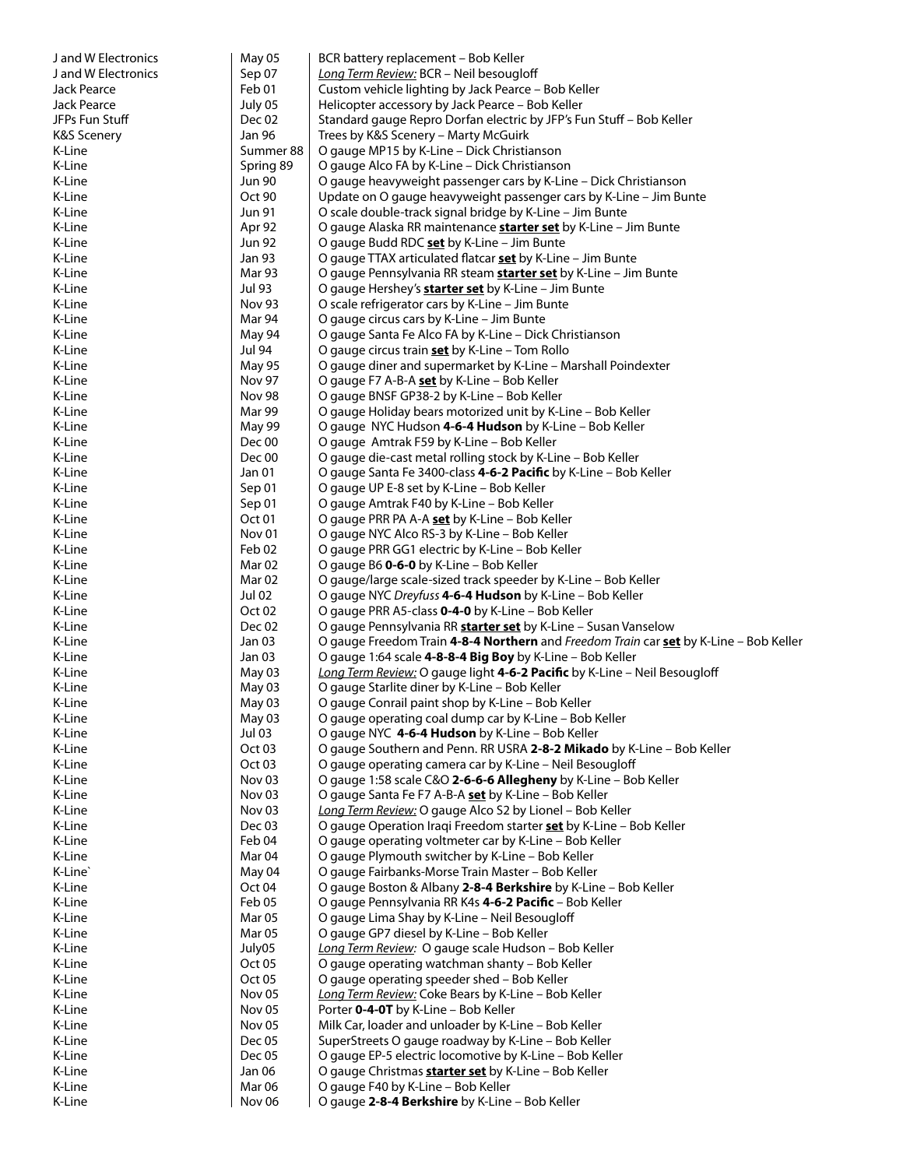| J and W Electronics    | May 05                      | BCR battery replacement - Bob Keller                                                                                                          |
|------------------------|-----------------------------|-----------------------------------------------------------------------------------------------------------------------------------------------|
| J and W Electronics    | Sep 07                      | Long Term Review: BCR - Neil besougloff                                                                                                       |
| Jack Pearce            | Feb 01                      | Custom vehicle lighting by Jack Pearce - Bob Keller                                                                                           |
| Jack Pearce            | July 05                     | Helicopter accessory by Jack Pearce - Bob Keller                                                                                              |
| JFPs Fun Stuff         | Dec 02                      | Standard gauge Repro Dorfan electric by JFP's Fun Stuff - Bob Keller                                                                          |
| <b>K&amp;S Scenery</b> | Jan 96                      | Trees by K&S Scenery - Marty McGuirk                                                                                                          |
| K-Line<br>K-Line       | Summer 88                   | O gauge MP15 by K-Line - Dick Christianson                                                                                                    |
| K-Line                 | Spring 89<br><b>Jun 90</b>  | O gauge Alco FA by K-Line - Dick Christianson                                                                                                 |
| K-Line                 | Oct 90                      | O gauge heavyweight passenger cars by K-Line – Dick Christianson<br>Update on O gauge heavyweight passenger cars by K-Line - Jim Bunte        |
| K-Line                 | Jun 91                      | O scale double-track signal bridge by K-Line - Jim Bunte                                                                                      |
| K-Line                 | Apr 92                      | O gauge Alaska RR maintenance <b>starter set</b> by K-Line – Jim Bunte                                                                        |
| K-Line                 | Jun 92                      | O gauge Budd RDC set by K-Line - Jim Bunte                                                                                                    |
| K-Line                 | Jan 93                      | O gauge TTAX articulated flatcar set by K-Line - Jim Bunte                                                                                    |
| K-Line                 | Mar 93                      | O gauge Pennsylvania RR steam <b>starter set</b> by K-Line – Jim Bunte                                                                        |
| K-Line                 | Jul 93                      | O gauge Hershey's <b>starter set</b> by K-Line - Jim Bunte                                                                                    |
| K-Line                 | <b>Nov 93</b>               | O scale refrigerator cars by K-Line - Jim Bunte                                                                                               |
| K-Line                 | Mar 94                      | O gauge circus cars by K-Line - Jim Bunte                                                                                                     |
| K-Line                 | May 94                      | O gauge Santa Fe Alco FA by K-Line - Dick Christianson                                                                                        |
| K-Line                 | Jul 94                      | O gauge circus train <b>set</b> by K-Line - Tom Rollo                                                                                         |
| K-Line                 | <b>May 95</b>               | O gauge diner and supermarket by K-Line - Marshall Poindexter                                                                                 |
| K-Line                 | <b>Nov 97</b>               | O gauge F7 A-B-A set by K-Line - Bob Keller                                                                                                   |
| K-Line                 | <b>Nov 98</b>               | O gauge BNSF GP38-2 by K-Line - Bob Keller                                                                                                    |
| K-Line                 | Mar 99                      | O gauge Holiday bears motorized unit by K-Line - Bob Keller                                                                                   |
| K-Line                 | May 99                      | O gauge NYC Hudson 4-6-4 Hudson by K-Line – Bob Keller                                                                                        |
| K-Line<br>K-Line       | Dec 00<br>Dec 00            | O gauge Amtrak F59 by K-Line – Bob Keller<br>O gauge die-cast metal rolling stock by K-Line - Bob Keller                                      |
| K-Line                 | Jan 01                      | O gauge Santa Fe 3400-class 4-6-2 Pacific by K-Line - Bob Keller                                                                              |
| K-Line                 | Sep 01                      | O gauge UP E-8 set by K-Line – Bob Keller                                                                                                     |
| K-Line                 | Sep 01                      | O gauge Amtrak F40 by K-Line - Bob Keller                                                                                                     |
| K-Line                 | Oct 01                      | O gauge PRR PA A-A set by K-Line - Bob Keller                                                                                                 |
| K-Line                 | Nov <sub>01</sub>           | O gauge NYC Alco RS-3 by K-Line - Bob Keller                                                                                                  |
| K-Line                 | Feb 02                      | O gauge PRR GG1 electric by K-Line - Bob Keller                                                                                               |
| K-Line                 | Mar 02                      | O gauge B6 0-6-0 by K-Line - Bob Keller                                                                                                       |
| K-Line                 | Mar 02                      | O gauge/large scale-sized track speeder by K-Line – Bob Keller                                                                                |
| K-Line                 | Jul 02                      | O gauge NYC Dreyfuss 4-6-4 Hudson by K-Line - Bob Keller                                                                                      |
| K-Line                 | Oct <sub>02</sub>           | O gauge PRR A5-class 0-4-0 by K-Line - Bob Keller                                                                                             |
| K-Line                 | Dec 02                      | O gauge Pennsylvania RR <b>starter set</b> by K-Line - Susan Vanselow                                                                         |
| K-Line                 | Jan 03                      | O gauge Freedom Train 4-8-4 Northern and Freedom Train car set by K-Line - Bob Keller                                                         |
| K-Line<br>K-Line       | Jan 03<br>May 03            | O gauge 1:64 scale <b>4-8-8-4 Big Boy</b> by K-Line – Bob Keller<br>Long Term Review: O gauge light 4-6-2 Pacific by K-Line - Neil Besougloff |
| K-Line                 | May 03                      | O gauge Starlite diner by K-Line - Bob Keller                                                                                                 |
| K-Line                 | May 03                      | O gauge Conrail paint shop by K-Line - Bob Keller                                                                                             |
| K-Line                 | May 03                      | O gauge operating coal dump car by K-Line – Bob Keller                                                                                        |
| K-Line                 | Jul 03                      | O gauge NYC 4-6-4 Hudson by K-Line - Bob Keller                                                                                               |
| K-Line                 | Oct <sub>03</sub>           | O gauge Southern and Penn. RR USRA 2-8-2 Mikado by K-Line - Bob Keller                                                                        |
| K-Line                 | Oct <sub>03</sub>           | O gauge operating camera car by K-Line - Neil Besougloff                                                                                      |
| K-Line                 | Nov <sub>03</sub>           | O gauge 1:58 scale C&O 2-6-6-6 Allegheny by K-Line - Bob Keller                                                                               |
| K-Line                 | Nov <sub>03</sub>           | O gauge Santa Fe F7 A-B-A set by K-Line - Bob Keller                                                                                          |
| K-Line                 | Nov <sub>03</sub>           | Long Term Review: O gauge Alco S2 by Lionel - Bob Keller                                                                                      |
| K-Line                 | Dec <sub>03</sub>           | O gauge Operation Iraqi Freedom starter <b>set</b> by K-Line - Bob Keller                                                                     |
| K-Line                 | Feb 04<br>Mar <sub>04</sub> | O gauge operating voltmeter car by K-Line - Bob Keller                                                                                        |
| K-Line<br>K-Line`      | May 04                      | O gauge Plymouth switcher by K-Line - Bob Keller<br>O gauge Fairbanks-Morse Train Master - Bob Keller                                         |
| K-Line                 | Oct 04                      | O gauge Boston & Albany 2-8-4 Berkshire by K-Line – Bob Keller                                                                                |
| K-Line                 | Feb 05                      | O gauge Pennsylvania RR K4s 4-6-2 Pacific - Bob Keller                                                                                        |
| K-Line                 | Mar <sub>05</sub>           | O gauge Lima Shay by K-Line - Neil Besougloff                                                                                                 |
| K-Line                 | Mar <sub>05</sub>           | O gauge GP7 diesel by K-Line - Bob Keller                                                                                                     |
| K-Line                 | July05                      | Long Term Review: O gauge scale Hudson - Bob Keller                                                                                           |
| K-Line                 | Oct 05                      | O gauge operating watchman shanty - Bob Keller                                                                                                |
| K-Line                 | Oct 05                      | O gauge operating speeder shed - Bob Keller                                                                                                   |
| K-Line                 | Nov <sub>05</sub>           | Long Term Review: Coke Bears by K-Line - Bob Keller                                                                                           |
| K-Line                 | Nov <sub>05</sub>           | Porter 0-4-0T by K-Line - Bob Keller                                                                                                          |
| K-Line                 | Nov <sub>05</sub>           | Milk Car, loader and unloader by K-Line - Bob Keller                                                                                          |
| K-Line                 | Dec 05                      | SuperStreets O gauge roadway by K-Line - Bob Keller                                                                                           |
| K-Line                 | Dec 05                      | O gauge EP-5 electric locomotive by K-Line - Bob Keller                                                                                       |
| K-Line<br>K-Line       | Jan 06<br>Mar <sub>06</sub> | O gauge Christmas <b>starter set</b> by K-Line - Bob Keller<br>O gauge F40 by K-Line - Bob Keller                                             |
| K-Line                 | Nov 06                      | O gauge 2-8-4 Berkshire by K-Line - Bob Keller                                                                                                |
|                        |                             |                                                                                                                                               |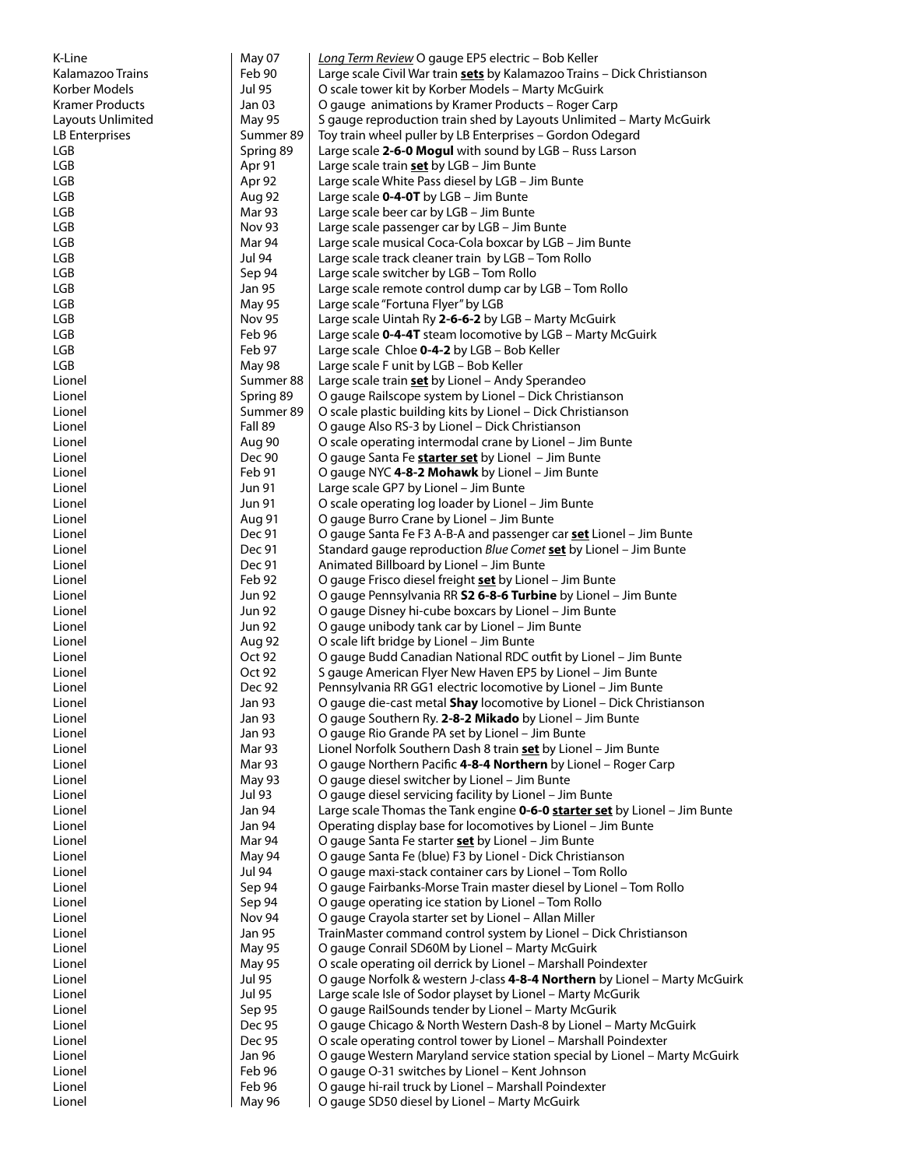| K-Line            | May 07           | Long Term Review O gauge EP5 electric - Bob Keller                                                                                           |
|-------------------|------------------|----------------------------------------------------------------------------------------------------------------------------------------------|
| Kalamazoo Trains  | Feb 90           | Large scale Civil War train sets by Kalamazoo Trains - Dick Christianson                                                                     |
| Korber Models     | Jul 95           | O scale tower kit by Korber Models - Marty McGuirk                                                                                           |
| Kramer Products   | Jan 03           | O gauge animations by Kramer Products – Roger Carp                                                                                           |
| Layouts Unlimited | May 95           | S gauge reproduction train shed by Layouts Unlimited - Marty McGuirk                                                                         |
| LB Enterprises    | Summer 89        | Toy train wheel puller by LB Enterprises - Gordon Odegard                                                                                    |
| LGB               | Spring 89        | Large scale 2-6-0 Mogul with sound by LGB - Russ Larson                                                                                      |
| LGB               | Apr 91           | Large scale train <b>set</b> by LGB - Jim Bunte                                                                                              |
| LGB               | Apr 92           | Large scale White Pass diesel by LGB - Jim Bunte                                                                                             |
| LGB               | Aug 92           | Large scale $0-4-0T$ by LGB - Jim Bunte                                                                                                      |
| LGB               | Mar 93           | Large scale beer car by LGB - Jim Bunte                                                                                                      |
| LGB               | <b>Nov 93</b>    | Large scale passenger car by LGB - Jim Bunte                                                                                                 |
| LGB               | Mar 94           | Large scale musical Coca-Cola boxcar by LGB - Jim Bunte                                                                                      |
| LGB<br>LGB        | Jul 94           | Large scale track cleaner train by LGB - Tom Rollo                                                                                           |
| LGB               | Sep 94<br>Jan 95 | Large scale switcher by LGB - Tom Rollo<br>Large scale remote control dump car by LGB - Tom Rollo                                            |
| LGB               | May 95           | Large scale "Fortuna Flyer" by LGB                                                                                                           |
| LGB               | <b>Nov 95</b>    | Large scale Uintah Ry 2-6-6-2 by LGB - Marty McGuirk                                                                                         |
| LGB               | Feb 96           | Large scale 0-4-4T steam locomotive by LGB - Marty McGuirk                                                                                   |
| LGB               | Feb 97           | Large scale Chloe 0-4-2 by LGB - Bob Keller                                                                                                  |
| LGB               | <b>May 98</b>    | Large scale F unit by LGB - Bob Keller                                                                                                       |
| Lionel            | Summer 88        | Large scale train set by Lionel - Andy Sperandeo                                                                                             |
| Lionel            | Spring 89        | O gauge Railscope system by Lionel - Dick Christianson                                                                                       |
| Lionel            | Summer 89        | O scale plastic building kits by Lionel - Dick Christianson                                                                                  |
| Lionel            | Fall 89          | O gauge Also RS-3 by Lionel - Dick Christianson                                                                                              |
| Lionel            | Aug 90           | O scale operating intermodal crane by Lionel - Jim Bunte                                                                                     |
| Lionel            | Dec 90           | O gauge Santa Fe <b>starter set</b> by Lionel - Jim Bunte                                                                                    |
| Lionel            | Feb 91           | O gauge NYC 4-8-2 Mohawk by Lionel - Jim Bunte                                                                                               |
| Lionel            | Jun 91           | Large scale GP7 by Lionel - Jim Bunte                                                                                                        |
| Lionel            | <b>Jun 91</b>    | O scale operating log loader by Lionel - Jim Bunte                                                                                           |
| Lionel            | Aug 91           | O gauge Burro Crane by Lionel - Jim Bunte                                                                                                    |
| Lionel            | Dec 91           | O gauge Santa Fe F3 A-B-A and passenger car <b>set</b> Lionel - Jim Bunte                                                                    |
| Lionel            | Dec 91           | Standard gauge reproduction Blue Comet set by Lionel - Jim Bunte                                                                             |
| Lionel            | Dec 91           | Animated Billboard by Lionel - Jim Bunte                                                                                                     |
| Lionel            | Feb 92           | O gauge Frisco diesel freight <b>set</b> by Lionel - Jim Bunte                                                                               |
| Lionel            | <b>Jun 92</b>    | O gauge Pennsylvania RR <b>S2 6-8-6 Turbine</b> by Lionel – Jim Bunte                                                                        |
| Lionel            | <b>Jun 92</b>    | O gauge Disney hi-cube boxcars by Lionel - Jim Bunte                                                                                         |
| Lionel            | <b>Jun 92</b>    | O gauge unibody tank car by Lionel - Jim Bunte                                                                                               |
| Lionel            | Aug 92           | O scale lift bridge by Lionel - Jim Bunte                                                                                                    |
| Lionel            | Oct 92           | O gauge Budd Canadian National RDC outfit by Lionel - Jim Bunte                                                                              |
| Lionel            | Oct 92           | S gauge American Flyer New Haven EP5 by Lionel - Jim Bunte                                                                                   |
| Lionel<br>Lionel  | Dec 92<br>Jan 93 | Pennsylvania RR GG1 electric locomotive by Lionel - Jim Bunte<br>O gauge die-cast metal <b>Shay</b> locomotive by Lionel – Dick Christianson |
| Lionel            | Jan 93           | O gauge Southern Ry. 2-8-2 Mikado by Lionel – Jim Bunte                                                                                      |
| Lionel            | <b>Jan 93</b>    | O gauge Rio Grande PA set by Lionel - Jim Bunte                                                                                              |
| Lionel            | Mar 93           | Lionel Norfolk Southern Dash 8 train set by Lionel - Jim Bunte                                                                               |
| Lionel            | Mar 93           | O gauge Northern Pacific 4-8-4 Northern by Lionel - Roger Carp                                                                               |
| Lionel            | May 93           | O gauge diesel switcher by Lionel - Jim Bunte                                                                                                |
| Lionel            | <b>Jul 93</b>    | O gauge diesel servicing facility by Lionel - Jim Bunte                                                                                      |
| Lionel            | <b>Jan 94</b>    | Large scale Thomas the Tank engine 0-6-0 starter set by Lionel - Jim Bunte                                                                   |
| Lionel            | <b>Jan 94</b>    | Operating display base for locomotives by Lionel - Jim Bunte                                                                                 |
| Lionel            | Mar 94           | O gauge Santa Fe starter set by Lionel - Jim Bunte                                                                                           |
| Lionel            | May 94           | O gauge Santa Fe (blue) F3 by Lionel - Dick Christianson                                                                                     |
| Lionel            | Jul 94           | O gauge maxi-stack container cars by Lionel - Tom Rollo                                                                                      |
| Lionel            | Sep 94           | O gauge Fairbanks-Morse Train master diesel by Lionel - Tom Rollo                                                                            |
| Lionel            | Sep 94           | O gauge operating ice station by Lionel - Tom Rollo                                                                                          |
| Lionel            | Nov 94           | O gauge Crayola starter set by Lionel - Allan Miller                                                                                         |
| Lionel            | Jan 95           | TrainMaster command control system by Lionel - Dick Christianson                                                                             |
| Lionel            | <b>May 95</b>    | O gauge Conrail SD60M by Lionel - Marty McGuirk                                                                                              |
| Lionel            | May 95           | O scale operating oil derrick by Lionel - Marshall Poindexter                                                                                |
| Lionel            | Jul 95           | O gauge Norfolk & western J-class 4-8-4 Northern by Lionel - Marty McGuirk                                                                   |
| Lionel            | Jul 95           | Large scale Isle of Sodor playset by Lionel - Marty McGurik                                                                                  |
| Lionel            | Sep 95           | O gauge RailSounds tender by Lionel - Marty McGurik                                                                                          |
| Lionel            | Dec 95           | O gauge Chicago & North Western Dash-8 by Lionel - Marty McGuirk                                                                             |
| Lionel            | Dec 95<br>Jan 96 | O scale operating control tower by Lionel - Marshall Poindexter                                                                              |
| Lionel<br>Lionel  | Feb 96           | O gauge Western Maryland service station special by Lionel - Marty McGuirk<br>O gauge O-31 switches by Lionel - Kent Johnson                 |
| Lionel            | Feb 96           | O gauge hi-rail truck by Lionel - Marshall Poindexter                                                                                        |
| Lionel            | May 96           | O gauge SD50 diesel by Lionel - Marty McGuirk                                                                                                |
|                   |                  |                                                                                                                                              |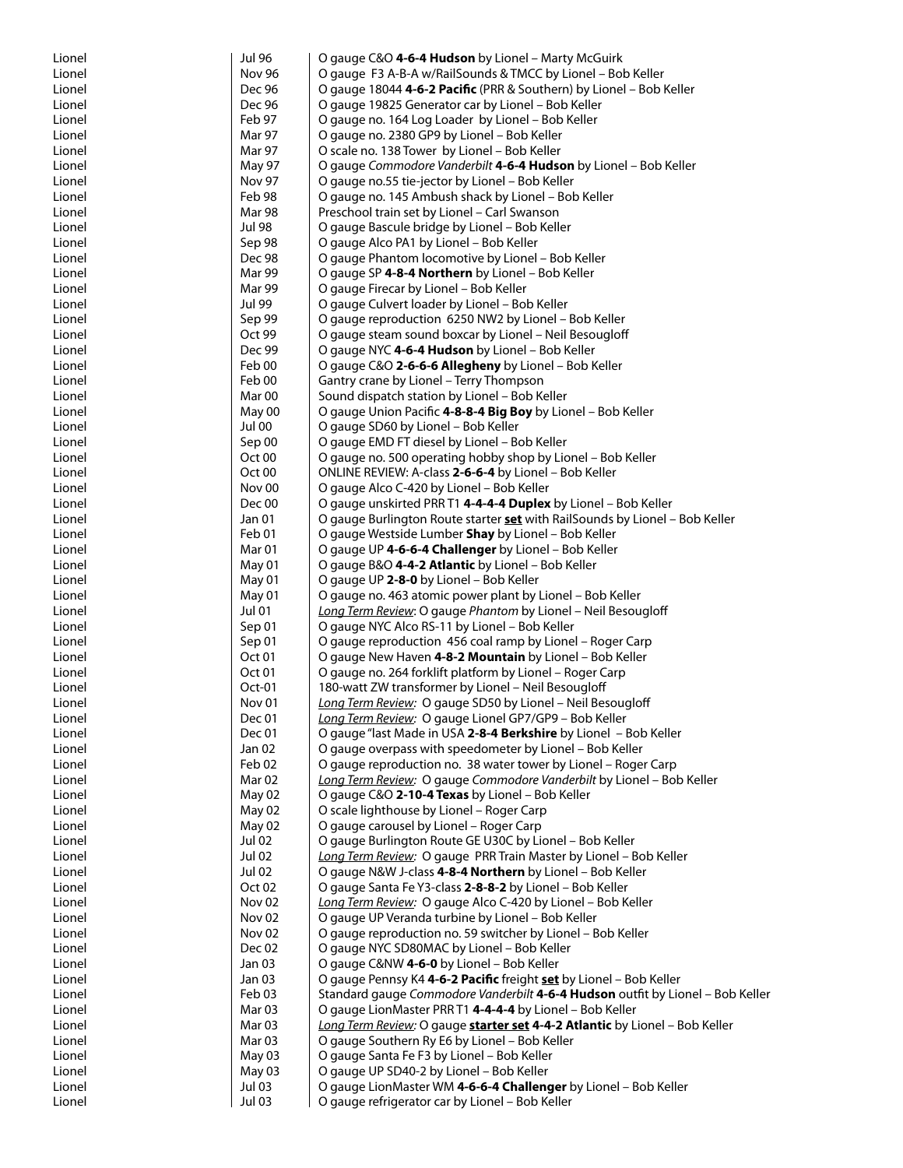| Lionel           | <b>Jul 96</b>                          | O gauge C&O 4-6-4 Hudson by Lionel - Marty McGuirk                                                                           |
|------------------|----------------------------------------|------------------------------------------------------------------------------------------------------------------------------|
| Lionel           | Nov 96                                 | O gauge F3 A-B-A w/RailSounds & TMCC by Lionel - Bob Keller                                                                  |
| Lionel           | Dec 96                                 | O gauge 18044 4-6-2 Pacific (PRR & Southern) by Lionel - Bob Keller                                                          |
| Lionel           | Dec 96                                 | O gauge 19825 Generator car by Lionel - Bob Keller                                                                           |
| Lionel           | Feb 97<br>Mar 97                       | O gauge no. 164 Log Loader by Lionel - Bob Keller                                                                            |
| Lionel<br>Lionel | Mar 97                                 | O gauge no. 2380 GP9 by Lionel - Bob Keller<br>O scale no. 138 Tower by Lionel - Bob Keller                                  |
| Lionel           | <b>May 97</b>                          | O gauge Commodore Vanderbilt 4-6-4 Hudson by Lionel - Bob Keller                                                             |
| Lionel           | Nov 97                                 | O gauge no.55 tie-jector by Lionel - Bob Keller                                                                              |
| Lionel           | Feb 98                                 | O gauge no. 145 Ambush shack by Lionel - Bob Keller                                                                          |
| Lionel           | Mar 98                                 | Preschool train set by Lionel - Carl Swanson                                                                                 |
| Lionel           | <b>Jul 98</b>                          | O gauge Bascule bridge by Lionel - Bob Keller                                                                                |
| Lionel           | Sep 98                                 | O gauge Alco PA1 by Lionel - Bob Keller                                                                                      |
| Lionel           | Dec 98                                 | O gauge Phantom locomotive by Lionel - Bob Keller                                                                            |
| Lionel           | Mar 99                                 | O gauge SP 4-8-4 Northern by Lionel - Bob Keller                                                                             |
| Lionel           | Mar 99                                 | O gauge Firecar by Lionel - Bob Keller                                                                                       |
| Lionel           | Jul 99                                 | O gauge Culvert loader by Lionel - Bob Keller                                                                                |
| Lionel           | Sep 99                                 | O gauge reproduction 6250 NW2 by Lionel - Bob Keller                                                                         |
| Lionel           | Oct 99<br>Dec 99                       | O gauge steam sound boxcar by Lionel - Neil Besougloff                                                                       |
| Lionel<br>Lionel | Feb 00                                 | O gauge NYC 4-6-4 Hudson by Lionel - Bob Keller<br>O gauge C&O 2-6-6-6 Allegheny by Lionel - Bob Keller                      |
| Lionel           | Feb 00                                 | Gantry crane by Lionel - Terry Thompson                                                                                      |
| Lionel           | Mar <sub>00</sub>                      | Sound dispatch station by Lionel - Bob Keller                                                                                |
| Lionel           | May 00                                 | O gauge Union Pacific 4-8-8-4 Big Boy by Lionel - Bob Keller                                                                 |
| Lionel           | <b>Jul 00</b>                          | O gauge SD60 by Lionel - Bob Keller                                                                                          |
| Lionel           | Sep 00                                 | O gauge EMD FT diesel by Lionel - Bob Keller                                                                                 |
| Lionel           | Oct 00                                 | O gauge no. 500 operating hobby shop by Lionel - Bob Keller                                                                  |
| Lionel           | Oct <sub>00</sub>                      | ONLINE REVIEW: A-class 2-6-6-4 by Lionel – Bob Keller                                                                        |
| Lionel           | Nov <sub>00</sub>                      | O gauge Alco C-420 by Lionel - Bob Keller                                                                                    |
| Lionel           | Dec 00                                 | O gauge unskirted PRR T1 4-4-4-4 Duplex by Lionel - Bob Keller                                                               |
| Lionel           | Jan 01                                 | O gauge Burlington Route starter <b>set</b> with RailSounds by Lionel - Bob Keller                                           |
| Lionel           | Feb 01                                 | O gauge Westside Lumber Shay by Lionel - Bob Keller                                                                          |
| Lionel<br>Lionel | Mar 01<br>May 01                       | O gauge UP 4-6-6-4 Challenger by Lionel - Bob Keller<br>O gauge B&O 4-4-2 Atlantic by Lionel - Bob Keller                    |
| Lionel           | May 01                                 | O gauge UP 2-8-0 by Lionel - Bob Keller                                                                                      |
| Lionel           | May 01                                 | O gauge no. 463 atomic power plant by Lionel – Bob Keller                                                                    |
| Lionel           | <b>Jul 01</b>                          | Long Term Review: O gauge Phantom by Lionel - Neil Besougloff                                                                |
| Lionel           | Sep 01                                 | O gauge NYC Alco RS-11 by Lionel - Bob Keller                                                                                |
| Lionel           | Sep 01                                 | O gauge reproduction 456 coal ramp by Lionel - Roger Carp                                                                    |
| Lionel           | Oct 01                                 | O gauge New Haven 4-8-2 Mountain by Lionel - Bob Keller                                                                      |
| Lionel           | Oct 01                                 | O gauge no. 264 forklift platform by Lionel - Roger Carp                                                                     |
| Lionel           | Oct-01                                 | 180-watt ZW transformer by Lionel - Neil Besougloff                                                                          |
| Lionel           | Nov 01                                 | Long Term Review: O gauge SD50 by Lionel - Neil Besougloff                                                                   |
| Lionel           | Dec 01                                 | Long Term Review: O gauge Lionel GP7/GP9 - Bob Keller                                                                        |
| Lionel<br>Lionel | Dec 01<br>Jan 02                       | O gauge "last Made in USA 2-8-4 Berkshire by Lionel - Bob Keller<br>O gauge overpass with speedometer by Lionel - Bob Keller |
| Lionel           | Feb 02                                 | O gauge reproduction no. 38 water tower by Lionel - Roger Carp                                                               |
| Lionel           | Mar <sub>02</sub>                      | Long Term Review: O gauge Commodore Vanderbilt by Lionel - Bob Keller                                                        |
| Lionel           | May 02                                 | O gauge C&O 2-10-4 Texas by Lionel - Bob Keller                                                                              |
| Lionel           | May 02                                 | O scale lighthouse by Lionel - Roger Carp                                                                                    |
| Lionel           | May 02                                 | O gauge carousel by Lionel - Roger Carp                                                                                      |
| Lionel           | <b>Jul 02</b>                          | O gauge Burlington Route GE U30C by Lionel - Bob Keller                                                                      |
| Lionel           | Jul 02                                 | Long Term Review: O gauge PRR Train Master by Lionel - Bob Keller                                                            |
| Lionel           | <b>Jul 02</b>                          | O gauge N&W J-class 4-8-4 Northern by Lionel - Bob Keller                                                                    |
| Lionel           | Oct <sub>02</sub>                      | O gauge Santa Fe Y3-class 2-8-8-2 by Lionel - Bob Keller                                                                     |
| Lionel           | Nov <sub>02</sub><br>Nov <sub>02</sub> | Long Term Review: O gauge Alco C-420 by Lionel - Bob Keller                                                                  |
| Lionel<br>Lionel | Nov <sub>02</sub>                      | O gauge UP Veranda turbine by Lionel - Bob Keller<br>O gauge reproduction no. 59 switcher by Lionel - Bob Keller             |
| Lionel           | Dec 02                                 | O gauge NYC SD80MAC by Lionel - Bob Keller                                                                                   |
| Lionel           | Jan 03                                 | O gauge C&NW 4-6-0 by Lionel - Bob Keller                                                                                    |
| Lionel           | Jan 03                                 | O gauge Pennsy K4 4-6-2 Pacific freight set by Lionel - Bob Keller                                                           |
| Lionel           | Feb 03                                 | Standard gauge Commodore Vanderbilt 4-6-4 Hudson outfit by Lionel - Bob Keller                                               |
| Lionel           | Mar <sub>03</sub>                      | O gauge LionMaster PRR T1 4-4-4-4 by Lionel - Bob Keller                                                                     |
| Lionel           | Mar <sub>03</sub>                      | Long Term Review: O gauge starter set 4-4-2 Atlantic by Lionel - Bob Keller                                                  |
| Lionel           | Mar <sub>03</sub>                      | O gauge Southern Ry E6 by Lionel - Bob Keller                                                                                |
| Lionel           | May 03                                 | O gauge Santa Fe F3 by Lionel - Bob Keller                                                                                   |
| Lionel           | May 03                                 | O gauge UP SD40-2 by Lionel - Bob Keller                                                                                     |
| Lionel           | Jul 03                                 | O gauge LionMaster WM 4-6-6-4 Challenger by Lionel - Bob Keller                                                              |
| Lionel           | <b>Jul 03</b>                          | O gauge refrigerator car by Lionel - Bob Keller                                                                              |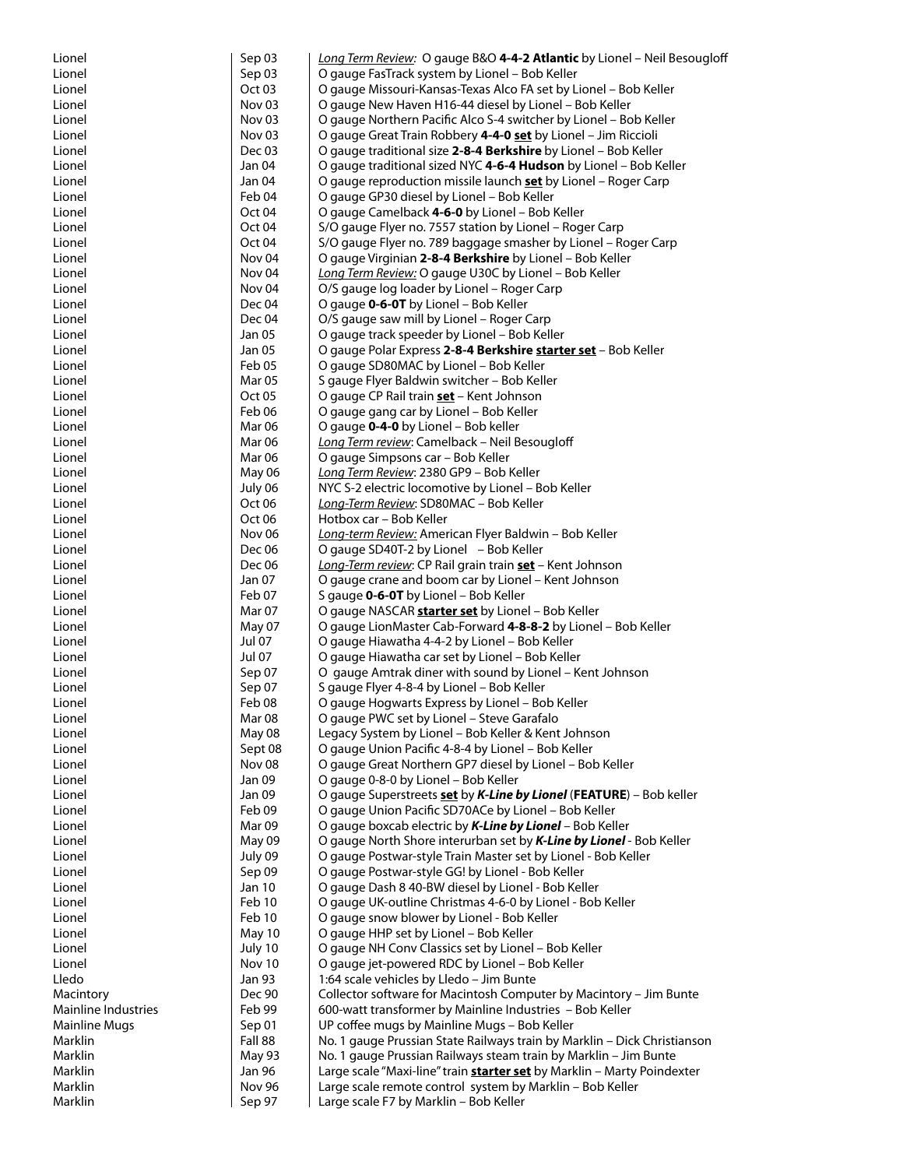| Lionel              | Sep 03                       | Long Term Review: O gauge B&O 4-4-2 Atlantic by Lionel - Neil Besougloff       |
|---------------------|------------------------------|--------------------------------------------------------------------------------|
| Lionel              | Sep 03                       | O gauge FasTrack system by Lionel - Bob Keller                                 |
| Lionel              | Oct <sub>03</sub>            | O gauge Missouri-Kansas-Texas Alco FA set by Lionel - Bob Keller               |
| Lionel              | Nov <sub>03</sub>            | O gauge New Haven H16-44 diesel by Lionel - Bob Keller                         |
| Lionel              | Nov <sub>03</sub>            | O gauge Northern Pacific Alco S-4 switcher by Lionel - Bob Keller              |
| Lionel              | Nov <sub>03</sub>            | O gauge Great Train Robbery 4-4-0 set by Lionel - Jim Riccioli                 |
| Lionel              | Dec 03                       | O gauge traditional size 2-8-4 Berkshire by Lionel - Bob Keller                |
| Lionel              | Jan 04                       | O gauge traditional sized NYC 4-6-4 Hudson by Lionel - Bob Keller              |
| Lionel              | Jan 04                       | O gauge reproduction missile launch <b>set</b> by Lionel – Roger Carp          |
| Lionel              | Feb 04                       | O gauge GP30 diesel by Lionel - Bob Keller                                     |
| Lionel              | Oct 04                       | O gauge Camelback 4-6-0 by Lionel - Bob Keller                                 |
| Lionel              | Oct 04                       | S/O gauge Flyer no. 7557 station by Lionel - Roger Carp                        |
| Lionel              | Oct <sub>04</sub>            | S/O gauge Flyer no. 789 baggage smasher by Lionel - Roger Carp                 |
| Lionel              | Nov <sub>04</sub>            | O gauge Virginian 2-8-4 Berkshire by Lionel - Bob Keller                       |
| Lionel              | Nov <sub>04</sub>            | Long Term Review: O gauge U30C by Lionel - Bob Keller                          |
| Lionel              | Nov <sub>04</sub>            | O/S gauge log loader by Lionel – Roger Carp                                    |
| Lionel              | Dec 04                       | O gauge 0-6-0T by Lionel - Bob Keller                                          |
| Lionel              | Dec 04                       | O/S gauge saw mill by Lionel - Roger Carp                                      |
| Lionel              | Jan 05                       | O gauge track speeder by Lionel - Bob Keller                                   |
| Lionel              | Jan 05                       | O gauge Polar Express 2-8-4 Berkshire starter set - Bob Keller                 |
| Lionel              | Feb 05                       | O gauge SD80MAC by Lionel - Bob Keller                                         |
| Lionel              | Mar <sub>05</sub>            | S gauge Flyer Baldwin switcher - Bob Keller                                    |
| Lionel              | Oct 05                       | O gauge CP Rail train set - Kent Johnson                                       |
| Lionel              | Feb 06                       | O gauge gang car by Lionel - Bob Keller                                        |
| Lionel              | Mar 06                       | O gauge 0-4-0 by Lionel - Bob keller                                           |
| Lionel<br>Lionel    | Mar 06<br><b>Mar 06</b>      | Long Term review: Camelback - Neil Besougloff                                  |
| Lionel              | May 06                       | O gauge Simpsons car - Bob Keller<br>Long Term Review: 2380 GP9 - Bob Keller   |
| Lionel              |                              | NYC S-2 electric locomotive by Lionel - Bob Keller                             |
| Lionel              | July 06<br>Oct <sub>06</sub> | Long-Term Review: SD80MAC - Bob Keller                                         |
| Lionel              | Oct <sub>06</sub>            | Hotbox car - Bob Keller                                                        |
| Lionel              | Nov 06                       | Long-term Review: American Flyer Baldwin - Bob Keller                          |
| Lionel              | Dec 06                       | O gauge SD40T-2 by Lionel - Bob Keller                                         |
| Lionel              | Dec 06                       | Long-Term review: CP Rail grain train set - Kent Johnson                       |
| Lionel              | Jan 07                       | O gauge crane and boom car by Lionel – Kent Johnson                            |
| Lionel              | Feb 07                       | S gauge <b>0-6-0T</b> by Lionel – Bob Keller                                   |
| Lionel              | Mar 07                       | O gauge NASCAR <b>starter set</b> by Lionel – Bob Keller                       |
| Lionel              | May 07                       | O gauge LionMaster Cab-Forward 4-8-8-2 by Lionel - Bob Keller                  |
| Lionel              | Jul 07                       | O gauge Hiawatha 4-4-2 by Lionel - Bob Keller                                  |
| Lionel              | <b>Jul 07</b>                | O gauge Hiawatha car set by Lionel - Bob Keller                                |
| Lionel              | Sep 07                       | O gauge Amtrak diner with sound by Lionel - Kent Johnson                       |
| Lionel              | Sep 07                       | S gauge Flyer 4-8-4 by Lionel - Bob Keller                                     |
| Lionel              | Feb 08                       | O gauge Hogwarts Express by Lionel - Bob Keller                                |
| Lionel              | Mar 08                       | O gauge PWC set by Lionel – Steve Garafalo                                     |
| Lionel              | May 08                       | Legacy System by Lionel - Bob Keller & Kent Johnson                            |
| Lionel              | Sept 08                      | O gauge Union Pacific 4-8-4 by Lionel - Bob Keller                             |
| Lionel              | Nov <sub>08</sub>            | O gauge Great Northern GP7 diesel by Lionel - Bob Keller                       |
| Lionel              | Jan 09                       | O gauge 0-8-0 by Lionel - Bob Keller                                           |
| Lionel              | Jan 09                       | O gauge Superstreets set by K-Line by Lionel (FEATURE) - Bob keller            |
| Lionel              | Feb 09                       | O gauge Union Pacific SD70ACe by Lionel - Bob Keller                           |
| Lionel              | Mar 09                       | O gauge boxcab electric by K-Line by Lionel - Bob Keller                       |
| Lionel              | May 09                       | O gauge North Shore interurban set by K-Line by Lionel - Bob Keller            |
| Lionel              | July 09                      | O gauge Postwar-style Train Master set by Lionel - Bob Keller                  |
| Lionel              | Sep 09                       | O gauge Postwar-style GG! by Lionel - Bob Keller                               |
| Lionel              | Jan 10                       | O gauge Dash 8 40-BW diesel by Lionel - Bob Keller                             |
| Lionel              | Feb 10                       | O gauge UK-outline Christmas 4-6-0 by Lionel - Bob Keller                      |
| Lionel              | Feb 10                       | O gauge snow blower by Lionel - Bob Keller                                     |
| Lionel              | May 10                       | O gauge HHP set by Lionel - Bob Keller                                         |
| Lionel              | July 10                      | O gauge NH Conv Classics set by Lionel - Bob Keller                            |
| Lionel              | Nov 10                       | O gauge jet-powered RDC by Lionel - Bob Keller                                 |
| Lledo               | <b>Jan 93</b>                | 1:64 scale vehicles by Lledo - Jim Bunte                                       |
| Macintory           | Dec 90                       | Collector software for Macintosh Computer by Macintory - Jim Bunte             |
| Mainline Industries | Feb 99                       | 600-watt transformer by Mainline Industries - Bob Keller                       |
| Mainline Mugs       | Sep 01                       | UP coffee mugs by Mainline Mugs - Bob Keller                                   |
| Marklin             | Fall 88                      | No. 1 gauge Prussian State Railways train by Marklin - Dick Christianson       |
| Marklin             | May 93                       | No. 1 gauge Prussian Railways steam train by Marklin - Jim Bunte               |
| Marklin             | Jan 96                       | Large scale "Maxi-line" train <b>starter set</b> by Marklin - Marty Poindexter |
| Marklin             | <b>Nov 96</b>                | Large scale remote control system by Marklin - Bob Keller                      |
| Marklin             | Sep 97                       | Large scale F7 by Marklin - Bob Keller                                         |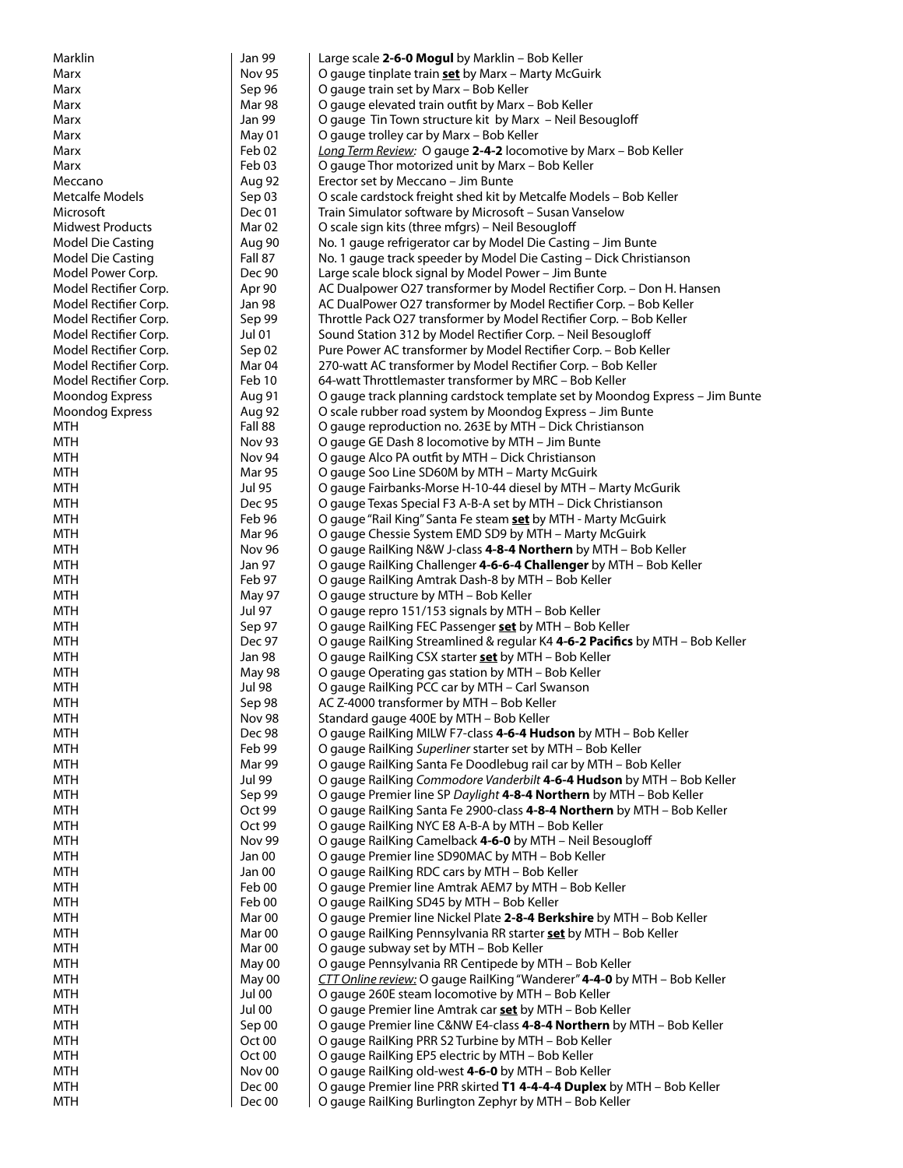| Marklin                                    | <b>Jan 99</b>     | Large scale 2-6-0 Mogul by Marklin - Bob Keller                                                                                                |
|--------------------------------------------|-------------------|------------------------------------------------------------------------------------------------------------------------------------------------|
| Marx                                       | <b>Nov 95</b>     | O gauge tinplate train set by Marx - Marty McGuirk                                                                                             |
| Marx                                       | Sep 96            | O gauge train set by Marx - Bob Keller                                                                                                         |
| Marx                                       | Mar 98            | O gauge elevated train outfit by Marx - Bob Keller                                                                                             |
| Marx                                       | Jan 99            | O gauge Tin Town structure kit by Marx - Neil Besougloff                                                                                       |
| Marx                                       | May 01            | O gauge trolley car by Marx - Bob Keller                                                                                                       |
| Marx                                       | Feb 02            | Long Term Review: O gauge 2-4-2 locomotive by Marx - Bob Keller                                                                                |
| Marx                                       | Feb 03            | O gauge Thor motorized unit by Marx - Bob Keller                                                                                               |
| Meccano                                    | Aug 92            | Erector set by Meccano - Jim Bunte                                                                                                             |
| Metcalfe Models                            | Sep 03            | O scale cardstock freight shed kit by Metcalfe Models - Bob Keller                                                                             |
| Microsoft                                  | Dec 01            | Train Simulator software by Microsoft - Susan Vanselow                                                                                         |
| <b>Midwest Products</b>                    | Mar <sub>02</sub> | O scale sign kits (three mfgrs) - Neil Besougloff                                                                                              |
| Model Die Casting                          | Aug 90            | No. 1 gauge refrigerator car by Model Die Casting - Jim Bunte                                                                                  |
| Model Die Casting                          | Fall 87<br>Dec 90 | No. 1 gauge track speeder by Model Die Casting – Dick Christianson                                                                             |
| Model Power Corp.<br>Model Rectifier Corp. | Apr 90            | Large scale block signal by Model Power - Jim Bunte                                                                                            |
| Model Rectifier Corp.                      | Jan 98            | AC Dualpower O27 transformer by Model Rectifier Corp. - Don H. Hansen<br>AC DualPower O27 transformer by Model Rectifier Corp. - Bob Keller    |
| Model Rectifier Corp.                      | Sep 99            | Throttle Pack O27 transformer by Model Rectifier Corp. - Bob Keller                                                                            |
| Model Rectifier Corp.                      | <b>Jul 01</b>     | Sound Station 312 by Model Rectifier Corp. - Neil Besougloff                                                                                   |
| Model Rectifier Corp.                      | Sep 02            | Pure Power AC transformer by Model Rectifier Corp. - Bob Keller                                                                                |
| Model Rectifier Corp.                      | Mar 04            | 270-watt AC transformer by Model Rectifier Corp. - Bob Keller                                                                                  |
| Model Rectifier Corp.                      | Feb 10            | 64-watt Throttlemaster transformer by MRC - Bob Keller                                                                                         |
| <b>Moondog Express</b>                     | Aug 91            | O gauge track planning cardstock template set by Moondog Express - Jim Bunte                                                                   |
| <b>Moondog Express</b>                     | Aug 92            | O scale rubber road system by Moondog Express - Jim Bunte                                                                                      |
| <b>MTH</b>                                 | Fall 88           | O gauge reproduction no. 263E by MTH - Dick Christianson                                                                                       |
| <b>MTH</b>                                 | Nov 93            | O gauge GE Dash 8 locomotive by MTH - Jim Bunte                                                                                                |
| <b>MTH</b>                                 | Nov 94            | O gauge Alco PA outfit by MTH - Dick Christianson                                                                                              |
| <b>MTH</b>                                 | <b>Mar 95</b>     | O gauge Soo Line SD60M by MTH - Marty McGuirk                                                                                                  |
| <b>MTH</b>                                 | <b>Jul 95</b>     | O gauge Fairbanks-Morse H-10-44 diesel by MTH - Marty McGurik                                                                                  |
| <b>MTH</b>                                 | <b>Dec 95</b>     | O gauge Texas Special F3 A-B-A set by MTH - Dick Christianson                                                                                  |
| <b>MTH</b>                                 | Feb 96            | O gauge "Rail King" Santa Fe steam <b>set</b> by MTH - Marty McGuirk                                                                           |
| <b>MTH</b>                                 | Mar 96            | O gauge Chessie System EMD SD9 by MTH - Marty McGuirk                                                                                          |
| <b>MTH</b>                                 | <b>Nov 96</b>     | O gauge RailKing N&W J-class 4-8-4 Northern by MTH - Bob Keller                                                                                |
| <b>MTH</b>                                 | Jan 97            | O gauge RailKing Challenger 4-6-6-4 Challenger by MTH - Bob Keller                                                                             |
| <b>MTH</b>                                 | Feb 97            | O gauge RailKing Amtrak Dash-8 by MTH - Bob Keller                                                                                             |
| <b>MTH</b>                                 | May 97            | O gauge structure by MTH - Bob Keller                                                                                                          |
| <b>MTH</b>                                 | <b>Jul 97</b>     | O gauge repro 151/153 signals by MTH - Bob Keller                                                                                              |
| <b>MTH</b>                                 | Sep 97            | O gauge RailKing FEC Passenger set by MTH - Bob Keller                                                                                         |
| <b>MTH</b>                                 | Dec 97            | O gauge RailKing Streamlined & regular K4 4-6-2 Pacifics by MTH - Bob Keller                                                                   |
| <b>MTH</b>                                 | <b>Jan 98</b>     | O gauge RailKing CSX starter set by MTH - Bob Keller                                                                                           |
| <b>MTH</b>                                 | May 98            | O gauge Operating gas station by MTH - Bob Keller                                                                                              |
| <b>MTH</b>                                 | <b>Jul 98</b>     | O gauge RailKing PCC car by MTH - Carl Swanson                                                                                                 |
| <b>MTH</b>                                 | Sep 98            | AC Z-4000 transformer by MTH - Bob Keller                                                                                                      |
| MTH                                        | <b>Nov 98</b>     | Standard gauge 400E by MTH – Bob Keller                                                                                                        |
| <b>MTH</b>                                 | Dec 98            | O gauge RailKing MILW F7-class 4-6-4 Hudson by MTH - Bob Keller                                                                                |
| <b>MTH</b>                                 | Feb 99            | O gauge RailKing Superliner starter set by MTH - Bob Keller                                                                                    |
| <b>MTH</b>                                 | Mar 99            | O gauge RailKing Santa Fe Doodlebug rail car by MTH - Bob Keller                                                                               |
| <b>MTH</b>                                 | Jul 99            | O gauge RailKing Commodore Vanderbilt 4-6-4 Hudson by MTH - Bob Keller                                                                         |
| <b>MTH</b><br><b>MTH</b>                   | Sep 99<br>Oct 99  | O gauge Premier line SP Daylight 4-8-4 Northern by MTH - Bob Keller<br>O gauge RailKing Santa Fe 2900-class 4-8-4 Northern by MTH - Bob Keller |
| <b>MTH</b>                                 | Oct 99            | O gauge RailKing NYC E8 A-B-A by MTH - Bob Keller                                                                                              |
| <b>MTH</b>                                 | Nov 99            | O gauge RailKing Camelback 4-6-0 by MTH - Neil Besougloff                                                                                      |
| <b>MTH</b>                                 | Jan 00            | O gauge Premier line SD90MAC by MTH - Bob Keller                                                                                               |
| <b>MTH</b>                                 | Jan 00            | O gauge RailKing RDC cars by MTH - Bob Keller                                                                                                  |
| <b>MTH</b>                                 | Feb 00            | O gauge Premier line Amtrak AEM7 by MTH - Bob Keller                                                                                           |
| <b>MTH</b>                                 | Feb 00            | O gauge RailKing SD45 by MTH - Bob Keller                                                                                                      |
| <b>MTH</b>                                 | Mar <sub>00</sub> | O gauge Premier line Nickel Plate 2-8-4 Berkshire by MTH - Bob Keller                                                                          |
| <b>MTH</b>                                 | Mar <sub>00</sub> | O gauge RailKing Pennsylvania RR starter <b>set</b> by MTH - Bob Keller                                                                        |
| MTH                                        | Mar <sub>00</sub> | O gauge subway set by MTH - Bob Keller                                                                                                         |
| <b>MTH</b>                                 | May 00            | O gauge Pennsylvania RR Centipede by MTH - Bob Keller                                                                                          |
| <b>MTH</b>                                 | May 00            | CTT Online review: O gauge RailKing "Wanderer" 4-4-0 by MTH - Bob Keller                                                                       |
| <b>MTH</b>                                 | Jul 00            | O gauge 260E steam locomotive by MTH - Bob Keller                                                                                              |
| <b>MTH</b>                                 | Jul 00            | O gauge Premier line Amtrak car set by MTH - Bob Keller                                                                                        |
| <b>MTH</b>                                 | Sep 00            | O gauge Premier line C&NW E4-class 4-8-4 Northern by MTH - Bob Keller                                                                          |
| <b>MTH</b>                                 | Oct 00            | O gauge RailKing PRR S2 Turbine by MTH - Bob Keller                                                                                            |
| <b>MTH</b>                                 | Oct 00            | O gauge RailKing EP5 electric by MTH - Bob Keller                                                                                              |
| <b>MTH</b>                                 | Nov 00            | O gauge RailKing old-west 4-6-0 by MTH - Bob Keller                                                                                            |
| <b>MTH</b>                                 | Dec 00            | O gauge Premier line PRR skirted T1 4-4-4-4 Duplex by MTH - Bob Keller                                                                         |
| <b>MTH</b>                                 | Dec 00            | O gauge RailKing Burlington Zephyr by MTH - Bob Keller                                                                                         |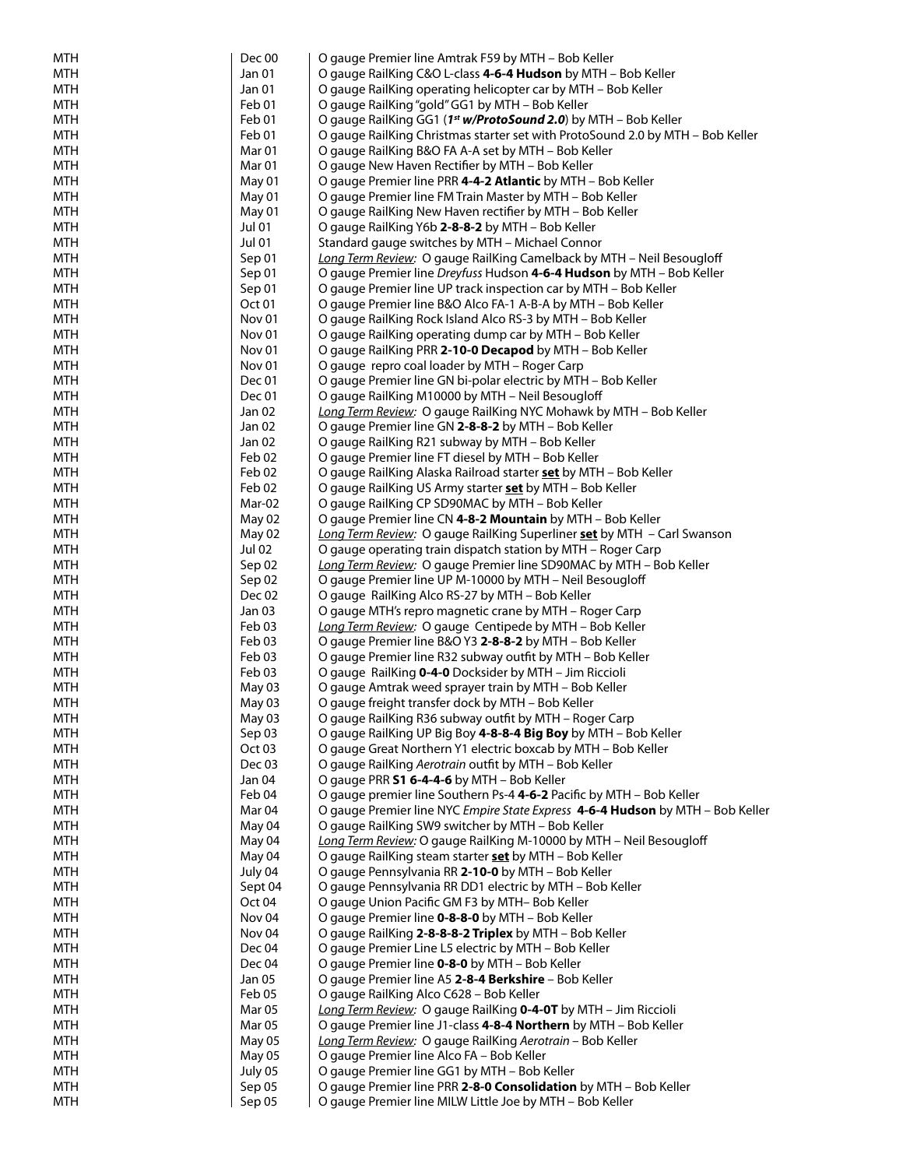| <b>MTH</b>               | Dec 00            | O gauge Premier line Amtrak F59 by MTH - Bob Keller                                                                    |
|--------------------------|-------------------|------------------------------------------------------------------------------------------------------------------------|
| <b>MTH</b>               | Jan 01            | O gauge RailKing C&O L-class 4-6-4 Hudson by MTH - Bob Keller                                                          |
| <b>MTH</b>               | Jan 01            | O gauge RailKing operating helicopter car by MTH - Bob Keller                                                          |
| <b>MTH</b>               | Feb 01            | O gauge RailKing "gold" GG1 by MTH - Bob Keller                                                                        |
| <b>MTH</b>               | Feb 01            | O gauge RailKing GG1 (1 <sup>st</sup> w/ProtoSound 2.0) by MTH - Bob Keller                                            |
| <b>MTH</b>               | Feb 01            | O gauge RailKing Christmas starter set with ProtoSound 2.0 by MTH - Bob Keller                                         |
| <b>MTH</b>               | Mar <sub>01</sub> | O gauge RailKing B&O FA A-A set by MTH - Bob Keller                                                                    |
| <b>MTH</b>               | Mar <sub>01</sub> | O gauge New Haven Rectifier by MTH - Bob Keller                                                                        |
| <b>MTH</b>               | May 01            | O gauge Premier line PRR 4-4-2 Atlantic by MTH - Bob Keller                                                            |
| <b>MTH</b>               | May 01            | O gauge Premier line FM Train Master by MTH - Bob Keller                                                               |
| <b>MTH</b>               | May 01            | O gauge RailKing New Haven rectifier by MTH - Bob Keller                                                               |
| <b>MTH</b>               | <b>Jul 01</b>     | O gauge RailKing Y6b 2-8-8-2 by MTH - Bob Keller                                                                       |
| <b>MTH</b>               | <b>Jul 01</b>     | Standard gauge switches by MTH - Michael Connor                                                                        |
| <b>MTH</b>               | Sep 01            | Long Term Review: O gauge RailKing Camelback by MTH - Neil Besougloff                                                  |
| <b>MTH</b>               | Sep 01            | O gauge Premier line Dreyfuss Hudson 4-6-4 Hudson by MTH - Bob Keller                                                  |
| <b>MTH</b>               | Sep 01            | O gauge Premier line UP track inspection car by MTH - Bob Keller                                                       |
| <b>MTH</b>               | Oct <sub>01</sub> | O gauge Premier line B&O Alco FA-1 A-B-A by MTH - Bob Keller                                                           |
| <b>MTH</b>               | Nov <sub>01</sub> | O gauge RailKing Rock Island Alco RS-3 by MTH - Bob Keller                                                             |
| <b>MTH</b>               | Nov 01            | O gauge RailKing operating dump car by MTH - Bob Keller                                                                |
| <b>MTH</b>               | Nov 01            | O gauge RailKing PRR 2-10-0 Decapod by MTH - Bob Keller                                                                |
| <b>MTH</b>               | Nov <sub>01</sub> | O gauge repro coal loader by MTH – Roger Carp                                                                          |
| <b>MTH</b>               | Dec 01            | O gauge Premier line GN bi-polar electric by MTH - Bob Keller                                                          |
| <b>MTH</b>               | Dec 01            | O gauge RailKing M10000 by MTH - Neil Besougloff                                                                       |
| <b>MTH</b>               | Jan 02            | Long Term Review: O gauge RailKing NYC Mohawk by MTH - Bob Keller                                                      |
| <b>MTH</b>               | Jan 02            | O gauge Premier line GN 2-8-8-2 by MTH - Bob Keller                                                                    |
| <b>MTH</b><br><b>MTH</b> | Jan 02<br>Feb 02  | O gauge RailKing R21 subway by MTH - Bob Keller                                                                        |
| <b>MTH</b>               | Feb 02            | O gauge Premier line FT diesel by MTH - Bob Keller<br>O gauge RailKing Alaska Railroad starter set by MTH – Bob Keller |
| <b>MTH</b>               | Feb 02            | O gauge RailKing US Army starter set by MTH - Bob Keller                                                               |
| <b>MTH</b>               | Mar-02            | O gauge RailKing CP SD90MAC by MTH - Bob Keller                                                                        |
| <b>MTH</b>               | May 02            | O gauge Premier line CN 4-8-2 Mountain by MTH - Bob Keller                                                             |
| <b>MTH</b>               | May 02            | Long Term Review: O gauge RailKing Superliner set by MTH - Carl Swanson                                                |
| <b>MTH</b>               | Jul 02            | O gauge operating train dispatch station by MTH - Roger Carp                                                           |
| <b>MTH</b>               | Sep 02            | Long Term Review: O gauge Premier line SD90MAC by MTH - Bob Keller                                                     |
| <b>MTH</b>               | Sep 02            | O gauge Premier line UP M-10000 by MTH - Neil Besougloff                                                               |
| <b>MTH</b>               | Dec 02            | O gauge RailKing Alco RS-27 by MTH - Bob Keller                                                                        |
| <b>MTH</b>               | Jan 03            | O gauge MTH's repro magnetic crane by MTH - Roger Carp                                                                 |
| <b>MTH</b>               | Feb 03            | Long Term Review: O gauge Centipede by MTH - Bob Keller                                                                |
| <b>MTH</b>               | Feb 03            | O gauge Premier line B&O Y3 2-8-8-2 by MTH - Bob Keller                                                                |
| <b>MTH</b>               | Feb 03            | O gauge Premier line R32 subway outfit by MTH - Bob Keller                                                             |
| <b>MTH</b>               | Feb 03            | O gauge RailKing 0-4-0 Docksider by MTH - Jim Riccioli                                                                 |
| <b>MTH</b>               | May 03            | O gauge Amtrak weed sprayer train by MTH - Bob Keller                                                                  |
| <b>MTH</b>               | May 03            | O gauge freight transfer dock by MTH - Bob Keller                                                                      |
| MTH                      | May 03            | O gauge RailKing R36 subway outht by MTH – Roger Carp                                                                  |
| <b>MTH</b>               | Sep 03            | O gauge RailKing UP Big Boy 4-8-8-4 Big Boy by MTH - Bob Keller                                                        |
| <b>MTH</b>               | Oct <sub>03</sub> | O gauge Great Northern Y1 electric boxcab by MTH - Bob Keller                                                          |
| <b>MTH</b>               | Dec 03            | O gauge RailKing Aerotrain outfit by MTH - Bob Keller                                                                  |
| <b>MTH</b>               | Jan 04            | O gauge PRR S1 6-4-4-6 by MTH - Bob Keller                                                                             |
| <b>MTH</b>               | Feb 04            | O gauge premier line Southern Ps-4 4-6-2 Pacific by MTH - Bob Keller                                                   |
| <b>MTH</b>               | Mar <sub>04</sub> | O gauge Premier line NYC Empire State Express 4-6-4 Hudson by MTH - Bob Keller                                         |
| <b>MTH</b>               | May 04            | O gauge RailKing SW9 switcher by MTH - Bob Keller                                                                      |
| <b>MTH</b>               | May 04            | Long Term Review: O gauge RailKing M-10000 by MTH - Neil Besougloff                                                    |
| <b>MTH</b>               | May 04            | O gauge RailKing steam starter set by MTH - Bob Keller                                                                 |
| <b>MTH</b>               | July 04           | O gauge Pennsylvania RR 2-10-0 by MTH - Bob Keller                                                                     |
| <b>MTH</b>               | Sept 04           | O gauge Pennsylvania RR DD1 electric by MTH - Bob Keller                                                               |
| <b>MTH</b>               | Oct 04            | O gauge Union Pacific GM F3 by MTH-Bob Keller                                                                          |
| <b>MTH</b>               | Nov <sub>04</sub> | O gauge Premier line 0-8-8-0 by MTH - Bob Keller                                                                       |
| <b>MTH</b>               | Nov <sub>04</sub> | O gauge RailKing 2-8-8-8-2 Triplex by MTH - Bob Keller                                                                 |
| <b>MTH</b>               | Dec 04            | O gauge Premier Line L5 electric by MTH - Bob Keller                                                                   |
| <b>MTH</b>               | Dec 04            | O gauge Premier line 0-8-0 by MTH - Bob Keller                                                                         |
| <b>MTH</b>               | Jan 05            | O gauge Premier line A5 2-8-4 Berkshire - Bob Keller                                                                   |
| <b>MTH</b>               | Feb 05            | O gauge RailKing Alco C628 - Bob Keller                                                                                |
| <b>MTH</b>               | Mar <sub>05</sub> | Long Term Review: O gauge RailKing 0-4-0T by MTH - Jim Riccioli                                                        |
| <b>MTH</b>               | Mar <sub>05</sub> | O gauge Premier line J1-class 4-8-4 Northern by MTH - Bob Keller                                                       |
| <b>MTH</b>               | May 05            | Long Term Review: O gauge RailKing Aerotrain - Bob Keller                                                              |
| <b>MTH</b>               | May 05            | O gauge Premier line Alco FA - Bob Keller                                                                              |
| <b>MTH</b>               | July 05           | O gauge Premier line GG1 by MTH - Bob Keller                                                                           |
| <b>MTH</b>               | Sep 05            | O gauge Premier line PRR 2-8-0 Consolidation by MTH - Bob Keller                                                       |
| <b>MTH</b>               | Sep 05            | O gauge Premier line MILW Little Joe by MTH - Bob Keller                                                               |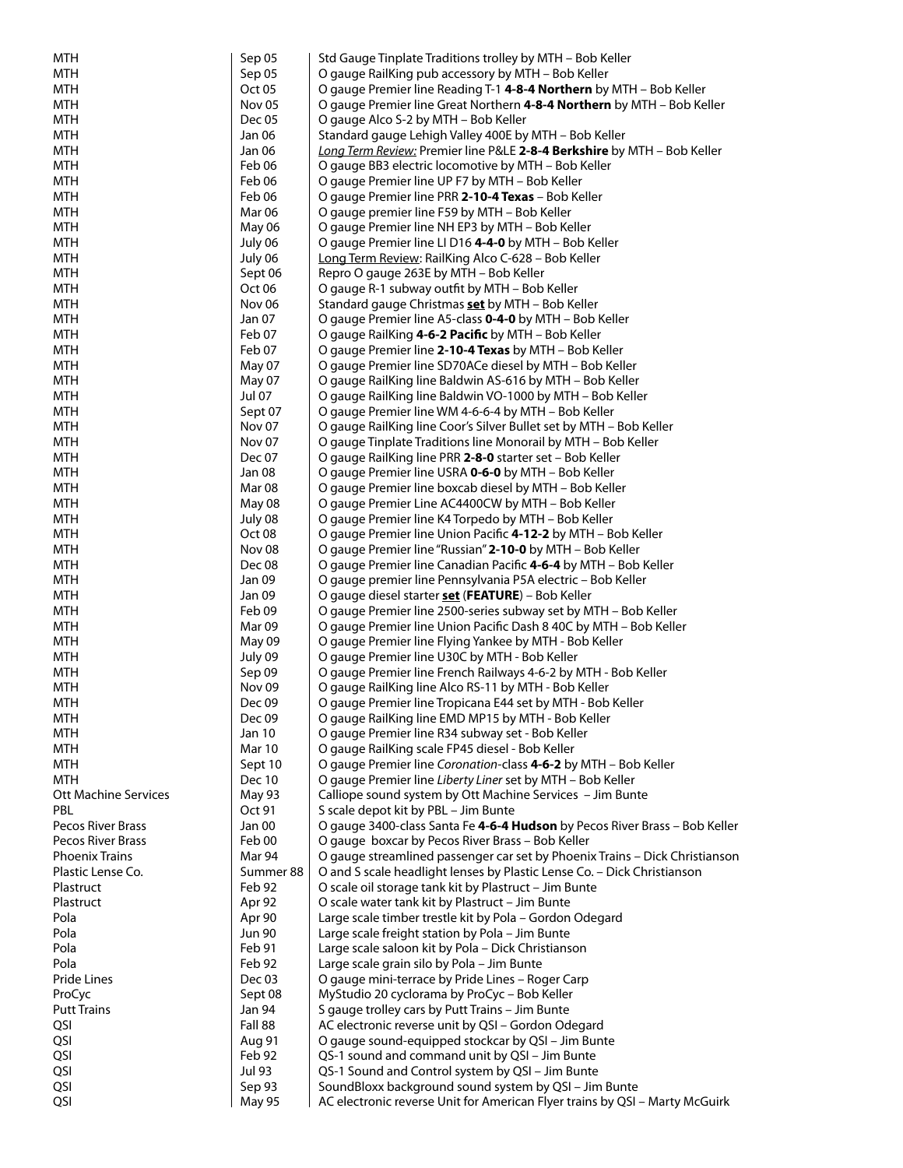| MTH                         | Sep 05            | Std Gauge Tinplate Traditions trolley by MTH - Bob Keller                                                             |
|-----------------------------|-------------------|-----------------------------------------------------------------------------------------------------------------------|
| <b>MTH</b>                  | Sep 05            | O gauge RailKing pub accessory by MTH - Bob Keller                                                                    |
| <b>MTH</b>                  | Oct 05            | O gauge Premier line Reading T-1 4-8-4 Northern by MTH - Bob Keller                                                   |
| <b>MTH</b>                  | Nov <sub>05</sub> | O gauge Premier line Great Northern 4-8-4 Northern by MTH - Bob Keller                                                |
| <b>MTH</b>                  | Dec 05            | O gauge Alco S-2 by MTH - Bob Keller                                                                                  |
| <b>MTH</b>                  | Jan 06            | Standard gauge Lehigh Valley 400E by MTH - Bob Keller                                                                 |
| <b>MTH</b>                  | Jan 06            | Long Term Review: Premier line P&LE 2-8-4 Berkshire by MTH - Bob Keller                                               |
| <b>MTH</b>                  | Feb 06            | O gauge BB3 electric locomotive by MTH - Bob Keller                                                                   |
| <b>MTH</b>                  | Feb 06            | O gauge Premier line UP F7 by MTH - Bob Keller                                                                        |
| <b>MTH</b>                  | Feb 06            | O gauge Premier line PRR 2-10-4 Texas - Bob Keller                                                                    |
| <b>MTH</b>                  | Mar 06            | O gauge premier line F59 by MTH – Bob Keller                                                                          |
| <b>MTH</b>                  | May 06            | O gauge Premier line NH EP3 by MTH - Bob Keller                                                                       |
| <b>MTH</b>                  | July 06           | O gauge Premier line LI D16 4-4-0 by MTH - Bob Keller                                                                 |
| <b>MTH</b>                  | July 06           | Long Term Review: RailKing Alco C-628 - Bob Keller                                                                    |
| <b>MTH</b>                  | Sept 06           | Repro O gauge 263E by MTH - Bob Keller                                                                                |
| <b>MTH</b>                  | Oct <sub>06</sub> | O gauge R-1 subway outfit by MTH - Bob Keller                                                                         |
| <b>MTH</b>                  | Nov 06            | Standard gauge Christmas <b>set</b> by MTH - Bob Keller                                                               |
| <b>MTH</b>                  | Jan 07            | O gauge Premier line A5-class <b>0-4-0</b> by MTH – Bob Keller                                                        |
| <b>MTH</b>                  | Feb 07            | O gauge RailKing 4-6-2 Pacific by MTH - Bob Keller                                                                    |
| <b>MTH</b>                  | Feb 07            | O gauge Premier line 2-10-4 Texas by MTH - Bob Keller                                                                 |
| <b>MTH</b>                  | May 07            | O gauge Premier line SD70ACe diesel by MTH - Bob Keller                                                               |
| <b>MTH</b>                  |                   |                                                                                                                       |
| <b>MTH</b>                  | May 07<br>Jul 07  | O gauge RailKing line Baldwin AS-616 by MTH - Bob Keller<br>O gauge RailKing line Baldwin VO-1000 by MTH - Bob Keller |
|                             |                   |                                                                                                                       |
| <b>MTH</b>                  | Sept 07           | O gauge Premier line WM 4-6-6-4 by MTH - Bob Keller                                                                   |
| <b>MTH</b>                  | Nov 07            | O gauge RailKing line Coor's Silver Bullet set by MTH - Bob Keller                                                    |
| <b>MTH</b>                  | Nov 07            | O gauge Tinplate Traditions line Monorail by MTH - Bob Keller                                                         |
| <b>MTH</b>                  | Dec 07            | O gauge RailKing line PRR 2-8-0 starter set – Bob Keller                                                              |
| <b>MTH</b>                  | Jan 08            | O gauge Premier line USRA 0-6-0 by MTH – Bob Keller                                                                   |
| <b>MTH</b>                  | Mar 08            | O gauge Premier line boxcab diesel by MTH - Bob Keller                                                                |
| <b>MTH</b>                  | May 08            | O gauge Premier Line AC4400CW by MTH – Bob Keller                                                                     |
| <b>MTH</b>                  | July 08           | O gauge Premier line K4 Torpedo by MTH - Bob Keller                                                                   |
| <b>MTH</b>                  | Oct <sub>08</sub> | O gauge Premier line Union Pacific 4-12-2 by MTH - Bob Keller                                                         |
| <b>MTH</b>                  | Nov <sub>08</sub> | O gauge Premier line "Russian" 2-10-0 by MTH – Bob Keller                                                             |
| <b>MTH</b>                  | Dec 08            | O gauge Premier line Canadian Pacific 4-6-4 by MTH – Bob Keller                                                       |
| <b>MTH</b>                  | Jan 09            | O gauge premier line Pennsylvania P5A electric - Bob Keller                                                           |
| <b>MTH</b>                  | Jan 09            | O gauge diesel starter <b>set</b> (FEATURE) – Bob Keller                                                              |
| MTH                         | Feb 09            | O gauge Premier line 2500-series subway set by MTH - Bob Keller                                                       |
| <b>MTH</b>                  | Mar 09            | O gauge Premier line Union Pacific Dash 8 40C by MTH – Bob Keller                                                     |
| <b>MTH</b>                  | May 09            | O gauge Premier line Flying Yankee by MTH - Bob Keller                                                                |
| <b>MTH</b>                  | July 09           | O gauge Premier line U30C by MTH - Bob Keller                                                                         |
| <b>MTH</b>                  | Sep 09            | O gauge Premier line French Railways 4-6-2 by MTH - Bob Keller                                                        |
| <b>MTH</b>                  | Nov <sub>09</sub> | O gauge RailKing line Alco RS-11 by MTH - Bob Keller                                                                  |
| <b>MTH</b>                  | Dec 09            | O gauge Premier line Tropicana E44 set by MTH - Bob Keller                                                            |
| MTH                         | Dec 09            | O gauge RailKing line EMD MP15 by MTH - Bob Keller                                                                    |
| MTH                         | Jan 10            | O gauge Premier line R34 subway set - Bob Keller                                                                      |
| <b>MTH</b>                  | Mar 10            | O gauge RailKing scale FP45 diesel - Bob Keller                                                                       |
| <b>MTH</b>                  | Sept 10           | O gauge Premier line Coronation-class 4-6-2 by MTH - Bob Keller                                                       |
| <b>MTH</b>                  | <b>Dec 10</b>     | O gauge Premier line Liberty Liner set by MTH - Bob Keller                                                            |
| <b>Ott Machine Services</b> | May 93            | Calliope sound system by Ott Machine Services - Jim Bunte                                                             |
| <b>PBL</b>                  | Oct 91            | S scale depot kit by PBL - Jim Bunte                                                                                  |
| Pecos River Brass           | Jan 00            | O gauge 3400-class Santa Fe 4-6-4 Hudson by Pecos River Brass - Bob Keller                                            |
| Pecos River Brass           | Feb 00            | O gauge boxcar by Pecos River Brass - Bob Keller                                                                      |
| <b>Phoenix Trains</b>       | Mar 94            | O gauge streamlined passenger car set by Phoenix Trains - Dick Christianson                                           |
| Plastic Lense Co.           | Summer 88         | O and S scale headlight lenses by Plastic Lense Co. - Dick Christianson                                               |
| Plastruct                   | Feb 92            | O scale oil storage tank kit by Plastruct - Jim Bunte                                                                 |
| Plastruct                   | Apr 92            | O scale water tank kit by Plastruct - Jim Bunte                                                                       |
| Pola                        | Apr 90            | Large scale timber trestle kit by Pola - Gordon Odegard                                                               |
| Pola                        | <b>Jun 90</b>     | Large scale freight station by Pola - Jim Bunte                                                                       |
| Pola                        | Feb 91            | Large scale saloon kit by Pola - Dick Christianson                                                                    |
| Pola                        | Feb 92            | Large scale grain silo by Pola - Jim Bunte                                                                            |
| Pride Lines                 | Dec 03            | O gauge mini-terrace by Pride Lines - Roger Carp                                                                      |
| ProCyc                      | Sept 08           | MyStudio 20 cyclorama by ProCyc - Bob Keller                                                                          |
| <b>Putt Trains</b>          | Jan 94            | S gauge trolley cars by Putt Trains - Jim Bunte                                                                       |
| QSI                         | Fall 88           | AC electronic reverse unit by QSI - Gordon Odegard                                                                    |
| QSI                         | Aug 91            | O gauge sound-equipped stockcar by QSI - Jim Bunte                                                                    |
| QSI                         | Feb 92            | QS-1 sound and command unit by QSI - Jim Bunte                                                                        |
| QSI                         | Jul 93            | QS-1 Sound and Control system by QSI - Jim Bunte                                                                      |
| QSI                         | Sep 93            | SoundBloxx background sound system by QSI - Jim Bunte                                                                 |
| QSI                         | <b>May 95</b>     | AC electronic reverse Unit for American Flyer trains by QSI - Marty McGuirk                                           |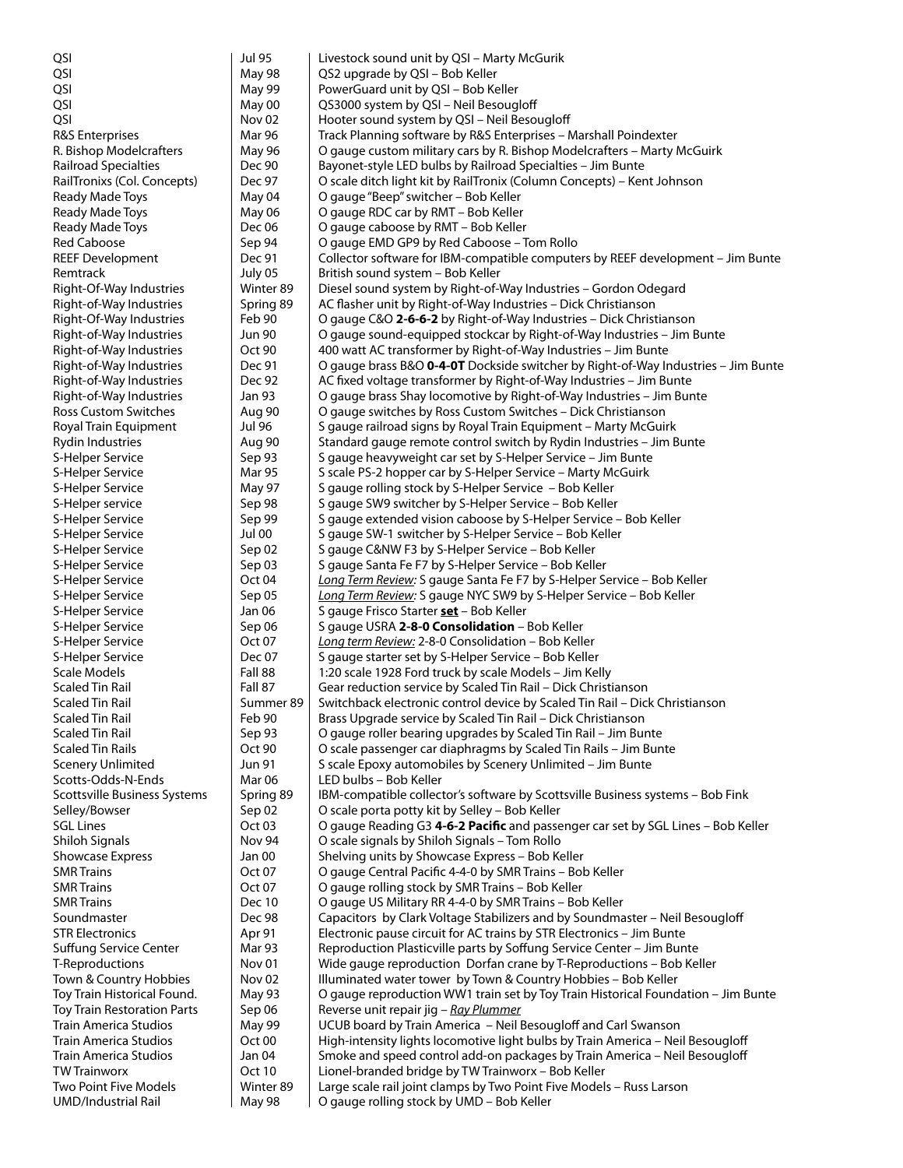| QSI                                       | <b>Jul 95</b>               | Livestock sound unit by QSI - Marty McGurik                                                          |
|-------------------------------------------|-----------------------------|------------------------------------------------------------------------------------------------------|
| QSI                                       | <b>May 98</b>               | QS2 upgrade by QSI - Bob Keller                                                                      |
| QSI                                       | May 99                      | PowerGuard unit by QSI - Bob Keller                                                                  |
| QSI                                       | May 00                      | QS3000 system by QSI - Neil Besougloff                                                               |
| QSI                                       | Nov <sub>02</sub>           | Hooter sound system by QSI - Neil Besougloff                                                         |
| <b>R&amp;S</b> Enterprises                | Mar 96                      | Track Planning software by R&S Enterprises - Marshall Poindexter                                     |
| R. Bishop Modelcrafters                   | May 96                      | O gauge custom military cars by R. Bishop Modelcrafters - Marty McGuirk                              |
| Railroad Specialties                      | Dec 90                      | Bayonet-style LED bulbs by Railroad Specialties - Jim Bunte                                          |
| RailTronixs (Col. Concepts)               | Dec 97                      | O scale ditch light kit by RailTronix (Column Concepts) – Kent Johnson                               |
| Ready Made Toys                           | May 04                      | O gauge "Beep" switcher – Bob Keller                                                                 |
| Ready Made Toys                           | May 06                      | O gauge RDC car by RMT - Bob Keller                                                                  |
| Ready Made Toys                           | Dec 06                      | O gauge caboose by RMT - Bob Keller                                                                  |
| <b>Red Caboose</b>                        | Sep 94                      | O gauge EMD GP9 by Red Caboose - Tom Rollo                                                           |
| <b>REEF Development</b><br>Remtrack       | Dec 91                      | Collector software for IBM-compatible computers by REEF development - Jim Bunte                      |
| Right-Of-Way Industries                   | July 05<br>Winter 89        | British sound system - Bob Keller<br>Diesel sound system by Right-of-Way Industries – Gordon Odegard |
| Right-of-Way Industries                   | Spring 89                   | AC flasher unit by Right-of-Way Industries - Dick Christianson                                       |
| Right-Of-Way Industries                   | Feb 90                      | O gauge C&O 2-6-6-2 by Right-of-Way Industries - Dick Christianson                                   |
| Right-of-Way Industries                   | <b>Jun 90</b>               | O gauge sound-equipped stockcar by Right-of-Way Industries - Jim Bunte                               |
| Right-of-Way Industries                   | Oct 90                      | 400 watt AC transformer by Right-of-Way Industries - Jim Bunte                                       |
| Right-of-Way Industries                   | Dec 91                      | O gauge brass B&O 0-4-0T Dockside switcher by Right-of-Way Industries – Jim Bunte                    |
| Right-of-Way Industries                   | Dec 92                      | AC fixed voltage transformer by Right-of-Way Industries - Jim Bunte                                  |
| Right-of-Way Industries                   | Jan 93                      | O gauge brass Shay locomotive by Right-of-Way Industries - Jim Bunte                                 |
| Ross Custom Switches                      | Aug 90                      | O gauge switches by Ross Custom Switches - Dick Christianson                                         |
| Royal Train Equipment                     | Jul 96                      | S gauge railroad signs by Royal Train Equipment - Marty McGuirk                                      |
| <b>Rydin Industries</b>                   | Aug 90                      | Standard gauge remote control switch by Rydin Industries - Jim Bunte                                 |
| S-Helper Service                          | Sep 93                      | S gauge heavyweight car set by S-Helper Service – Jim Bunte                                          |
| S-Helper Service                          | <b>Mar 95</b>               | S scale PS-2 hopper car by S-Helper Service - Marty McGuirk                                          |
| S-Helper Service                          | May 97                      | S gauge rolling stock by S-Helper Service - Bob Keller                                               |
| S-Helper service                          | Sep 98                      | S gauge SW9 switcher by S-Helper Service - Bob Keller                                                |
| S-Helper Service                          | Sep 99                      | S gauge extended vision caboose by S-Helper Service - Bob Keller                                     |
| S-Helper Service                          | <b>Jul 00</b>               | S gauge SW-1 switcher by S-Helper Service - Bob Keller                                               |
| S-Helper Service                          | Sep 02                      | S gauge C&NW F3 by S-Helper Service - Bob Keller                                                     |
| S-Helper Service                          | Sep 03                      | S gauge Santa Fe F7 by S-Helper Service - Bob Keller                                                 |
| S-Helper Service                          | Oct 04                      | Long Term Review: S gauge Santa Fe F7 by S-Helper Service - Bob Keller                               |
| S-Helper Service                          | Sep 05                      | Long Term Review: S gauge NYC SW9 by S-Helper Service - Bob Keller                                   |
| S-Helper Service                          | Jan 06                      | S gauge Frisco Starter <b>set</b> - Bob Keller                                                       |
| S-Helper Service                          | Sep 06                      | S gauge USRA 2-8-0 Consolidation - Bob Keller                                                        |
| S-Helper Service                          | Oct <sub>07</sub>           | Long term Review: 2-8-0 Consolidation - Bob Keller                                                   |
| S-Helper Service                          | Dec 07                      | S gauge starter set by S-Helper Service - Bob Keller                                                 |
| Scale Models                              | Fall 88                     | 1:20 scale 1928 Ford truck by scale Models - Jim Kelly                                               |
| <b>Scaled Tin Rail</b>                    | Fall 87                     | Gear reduction service by Scaled Tin Rail - Dick Christianson                                        |
| <b>Scaled Tin Rail</b>                    | Summer 89                   | Switchback electronic control device by Scaled Tin Rail - Dick Christianson                          |
| <b>Scaled Tin Rail</b>                    | Feb 90                      | Brass Upgrade service by Scaled Tin Rail - Dick Christianson                                         |
| <b>Scaled Tin Rail</b>                    | Sep 93                      | O gauge roller bearing upgrades by Scaled Tin Rail - Jim Bunte                                       |
| <b>Scaled Tin Rails</b>                   | Oct 90                      | O scale passenger car diaphragms by Scaled Tin Rails - Jim Bunte                                     |
| <b>Scenery Unlimited</b>                  | <b>Jun 91</b>               | S scale Epoxy automobiles by Scenery Unlimited - Jim Bunte                                           |
| Scotts-Odds-N-Ends                        | Mar <sub>06</sub>           | LED bulbs - Bob Keller                                                                               |
| <b>Scottsville Business Systems</b>       | Spring 89                   | IBM-compatible collector's software by Scottsville Business systems - Bob Fink                       |
| Selley/Bowser<br><b>SGL Lines</b>         | Sep 02<br>Oct <sub>03</sub> | O scale porta potty kit by Selley - Bob Keller                                                       |
|                                           | Nov 94                      | O gauge Reading G3 4-6-2 Pacific and passenger car set by SGL Lines - Bob Keller                     |
| Shiloh Signals<br><b>Showcase Express</b> | Jan 00                      | O scale signals by Shiloh Signals - Tom Rollo<br>Shelving units by Showcase Express - Bob Keller     |
| <b>SMR Trains</b>                         | Oct 07                      | O gauge Central Pacific 4-4-0 by SMR Trains - Bob Keller                                             |
| <b>SMR Trains</b>                         | Oct <sub>07</sub>           | O gauge rolling stock by SMR Trains - Bob Keller                                                     |
| <b>SMR Trains</b>                         | <b>Dec 10</b>               | O gauge US Military RR 4-4-0 by SMR Trains - Bob Keller                                              |
| Soundmaster                               | Dec 98                      | Capacitors by Clark Voltage Stabilizers and by Soundmaster - Neil Besougloff                         |
| <b>STR Electronics</b>                    | Apr 91                      | Electronic pause circuit for AC trains by STR Electronics - Jim Bunte                                |
| <b>Suffung Service Center</b>             | Mar 93                      | Reproduction Plasticville parts by Soffung Service Center - Jim Bunte                                |
| T-Reproductions                           | Nov <sub>01</sub>           | Wide gauge reproduction Dorfan crane by T-Reproductions - Bob Keller                                 |
| Town & Country Hobbies                    | Nov <sub>02</sub>           | Illuminated water tower by Town & Country Hobbies - Bob Keller                                       |
| Toy Train Historical Found.               | <b>May 93</b>               | O gauge reproduction WW1 train set by Toy Train Historical Foundation - Jim Bunte                    |
| <b>Toy Train Restoration Parts</b>        | Sep 06                      | Reverse unit repair jig - Ray Plummer                                                                |
| <b>Train America Studios</b>              | May 99                      | UCUB board by Train America - Neil Besougloff and Carl Swanson                                       |
| <b>Train America Studios</b>              | Oct <sub>00</sub>           | High-intensity lights locomotive light bulbs by Train America - Neil Besougloff                      |
| Train America Studios                     | Jan 04                      | Smoke and speed control add-on packages by Train America - Neil Besougloff                           |
| <b>TW Trainworx</b>                       | <b>Oct 10</b>               | Lionel-branded bridge by TW Trainworx - Bob Keller                                                   |
| Two Point Five Models                     | Winter 89                   | Large scale rail joint clamps by Two Point Five Models - Russ Larson                                 |
| <b>UMD/Industrial Rail</b>                | May 98                      | O gauge rolling stock by UMD - Bob Keller                                                            |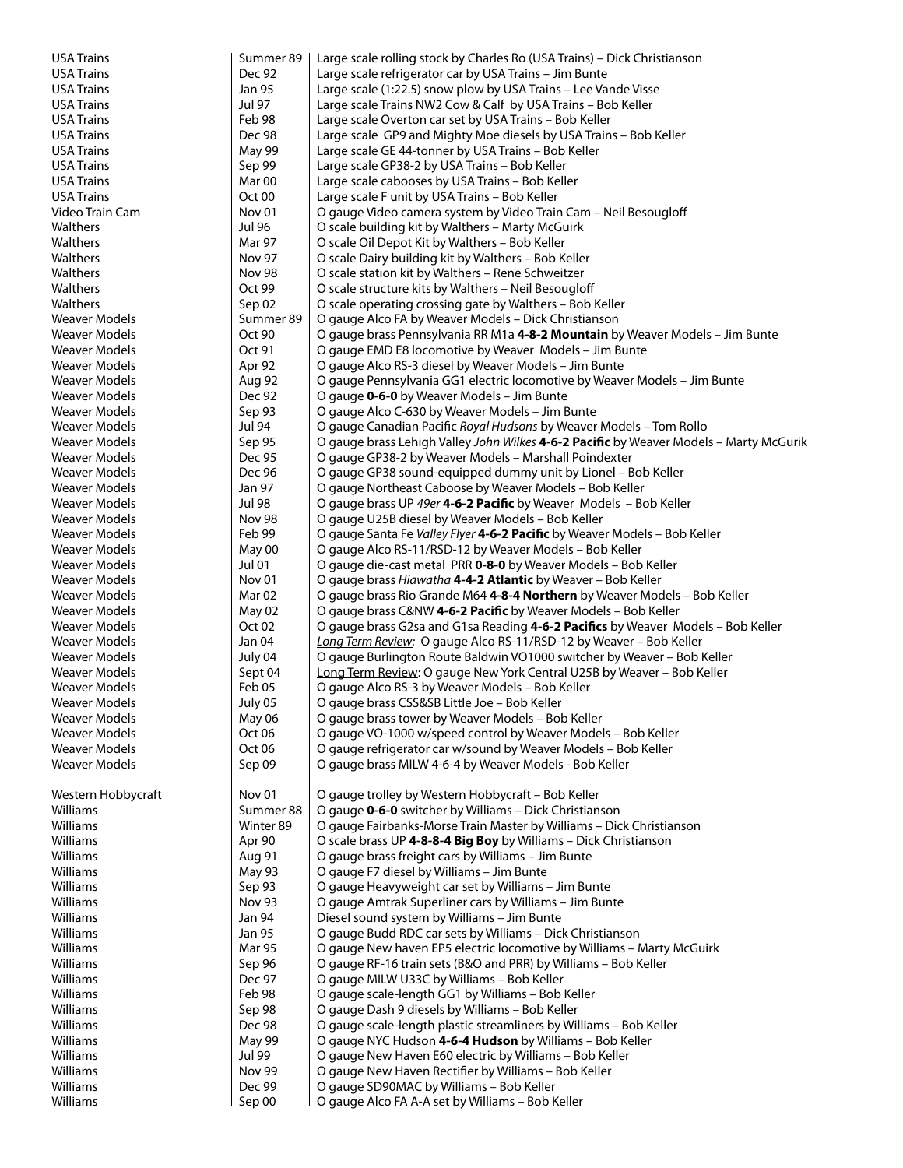| <b>USA Trains</b>              | Summer 89                   | Large scale rolling stock by Charles Ro (USA Trains) – Dick Christianson                                                                           |
|--------------------------------|-----------------------------|----------------------------------------------------------------------------------------------------------------------------------------------------|
| <b>USA Trains</b>              | Dec 92                      | Large scale refrigerator car by USA Trains - Jim Bunte                                                                                             |
| USA Trains                     | Jan 95                      | Large scale (1:22.5) snow plow by USA Trains - Lee Vande Visse                                                                                     |
| USA Trains                     | <b>Jul 97</b>               | Large scale Trains NW2 Cow & Calf by USA Trains - Bob Keller                                                                                       |
| <b>USA Trains</b>              | Feb 98                      | Large scale Overton car set by USA Trains - Bob Keller                                                                                             |
| USA Trains                     | Dec 98                      | Large scale GP9 and Mighty Moe diesels by USA Trains – Bob Keller                                                                                  |
| <b>USA Trains</b>              | May 99                      | Large scale GE 44-tonner by USA Trains - Bob Keller                                                                                                |
| <b>USA Trains</b>              | Sep 99                      | Large scale GP38-2 by USA Trains - Bob Keller                                                                                                      |
| <b>USA Trains</b>              | Mar 00                      | Large scale cabooses by USA Trains - Bob Keller                                                                                                    |
| <b>USA Trains</b>              | Oct 00                      | Large scale F unit by USA Trains - Bob Keller                                                                                                      |
| Video Train Cam                | Nov <sub>01</sub>           | O gauge Video camera system by Video Train Cam - Neil Besougloff                                                                                   |
| Walthers                       | Jul 96                      | O scale building kit by Walthers - Marty McGuirk                                                                                                   |
| Walthers                       | Mar 97                      | O scale Oil Depot Kit by Walthers - Bob Keller                                                                                                     |
| Walthers                       | <b>Nov 97</b>               | O scale Dairy building kit by Walthers - Bob Keller                                                                                                |
| Walthers                       | <b>Nov 98</b>               | O scale station kit by Walthers - Rene Schweitzer                                                                                                  |
| Walthers                       | Oct 99                      | O scale structure kits by Walthers - Neil Besougloff                                                                                               |
| Walthers                       | Sep 02                      | O scale operating crossing gate by Walthers - Bob Keller                                                                                           |
| Weaver Models                  | Summer 89                   | O gauge Alco FA by Weaver Models - Dick Christianson                                                                                               |
| Weaver Models                  | Oct 90                      | O gauge brass Pennsylvania RR M1a 4-8-2 Mountain by Weaver Models - Jim Bunte                                                                      |
| Weaver Models                  | Oct 91                      | O gauge EMD E8 locomotive by Weaver Models - Jim Bunte                                                                                             |
| Weaver Models                  | Apr 92                      | O gauge Alco RS-3 diesel by Weaver Models – Jim Bunte                                                                                              |
| Weaver Models                  | Aug 92                      | O gauge Pennsylvania GG1 electric locomotive by Weaver Models - Jim Bunte                                                                          |
| Weaver Models                  | Dec 92                      | O gauge <b>0-6-0</b> by Weaver Models – Jim Bunte                                                                                                  |
| <b>Weaver Models</b>           | Sep 93                      | O gauge Alco C-630 by Weaver Models - Jim Bunte                                                                                                    |
| <b>Weaver Models</b>           | Jul 94                      | O gauge Canadian Pacific Royal Hudsons by Weaver Models - Tom Rollo                                                                                |
| <b>Weaver Models</b>           | Sep 95                      | O gauge brass Lehigh Valley John Wilkes 4-6-2 Pacific by Weaver Models - Marty McGurik                                                             |
| Weaver Models                  | Dec 95                      | O gauge GP38-2 by Weaver Models - Marshall Poindexter                                                                                              |
| Weaver Models                  | Dec 96                      | O gauge GP38 sound-equipped dummy unit by Lionel – Bob Keller                                                                                      |
| Weaver Models                  | Jan 97                      | O gauge Northeast Caboose by Weaver Models - Bob Keller                                                                                            |
| Weaver Models                  | Jul 98                      | O gauge brass UP 49er <b>4-6-2 Pacific</b> by Weaver Models – Bob Keller                                                                           |
| Weaver Models                  | <b>Nov 98</b>               | O gauge U25B diesel by Weaver Models - Bob Keller                                                                                                  |
| Weaver Models                  | Feb 99                      | O gauge Santa Fe Valley Flyer 4-6-2 Pacific by Weaver Models – Bob Keller                                                                          |
| Weaver Models                  | May 00                      | O gauge Alco RS-11/RSD-12 by Weaver Models - Bob Keller                                                                                            |
| Weaver Models<br>Weaver Models | Jul 01<br>Nov <sub>01</sub> | O gauge die-cast metal PRR 0-8-0 by Weaver Models - Bob Keller                                                                                     |
| Weaver Models                  | Mar 02                      | O gauge brass Hiawatha 4-4-2 Atlantic by Weaver - Bob Keller                                                                                       |
| Weaver Models                  |                             | O gauge brass Rio Grande M64 4-8-4 Northern by Weaver Models - Bob Keller                                                                          |
| Weaver Models                  | May 02<br>Oct 02            | O gauge brass C&NW 4-6-2 Pacific by Weaver Models - Bob Keller<br>O gauge brass G2sa and G1sa Reading 4-6-2 Pacifics by Weaver Models - Bob Keller |
| Weaver Models                  | Jan 04                      | Long Term Review: O gauge Alco RS-11/RSD-12 by Weaver - Bob Keller                                                                                 |
| Weaver Models                  | July 04                     | O gauge Burlington Route Baldwin VO1000 switcher by Weaver - Bob Keller                                                                            |
| <b>Weaver Models</b>           | Sept 04                     | Long Term Review: O gauge New York Central U25B by Weaver - Bob Keller                                                                             |
| Weaver Models                  | Feb 05                      | O gauge Alco RS-3 by Weaver Models - Bob Keller                                                                                                    |
| <b>Weaver Models</b>           | July 05                     | O gauge brass CSS&SB Little Joe - Bob Keller                                                                                                       |
| Weaver Models                  | May 06                      | O gauge brass tower by Weaver Models – Bob Keller                                                                                                  |
| Weaver Models                  | Oct 06                      | O gauge VO-1000 w/speed control by Weaver Models - Bob Keller                                                                                      |
| Weaver Models                  | Oct 06                      | O gauge refrigerator car w/sound by Weaver Models - Bob Keller                                                                                     |
| Weaver Models                  | Sep 09                      | O gauge brass MILW 4-6-4 by Weaver Models - Bob Keller                                                                                             |
|                                |                             |                                                                                                                                                    |
| Western Hobbycraft             | Nov <sub>01</sub>           | O gauge trolley by Western Hobbycraft - Bob Keller                                                                                                 |
| Williams                       | Summer 88                   | O gauge <b>0-6-0</b> switcher by Williams – Dick Christianson                                                                                      |
| Williams                       | Winter 89                   | O gauge Fairbanks-Morse Train Master by Williams - Dick Christianson                                                                               |
| Williams                       | Apr 90                      | O scale brass UP 4-8-8-4 Big Boy by Williams - Dick Christianson                                                                                   |
| Williams                       | Aug 91                      | O gauge brass freight cars by Williams - Jim Bunte                                                                                                 |
| Williams                       | May 93                      | O gauge F7 diesel by Williams - Jim Bunte                                                                                                          |
| Williams                       | Sep 93                      | O gauge Heavyweight car set by Williams - Jim Bunte                                                                                                |
| Williams                       | Nov 93                      | O gauge Amtrak Superliner cars by Williams - Jim Bunte                                                                                             |
| Williams                       | Jan 94                      | Diesel sound system by Williams - Jim Bunte                                                                                                        |
| Williams                       | Jan 95                      | O gauge Budd RDC car sets by Williams - Dick Christianson                                                                                          |
| Williams                       | Mar 95                      | O gauge New haven EP5 electric locomotive by Williams - Marty McGuirk                                                                              |
| Williams                       | Sep 96                      | O gauge RF-16 train sets (B&O and PRR) by Williams - Bob Keller                                                                                    |
| Williams                       | Dec 97                      | O gauge MILW U33C by Williams - Bob Keller                                                                                                         |
| Williams                       | Feb 98                      | O gauge scale-length GG1 by Williams - Bob Keller                                                                                                  |
| Williams                       | Sep 98                      | O gauge Dash 9 diesels by Williams - Bob Keller                                                                                                    |
| Williams                       | Dec 98                      | O gauge scale-length plastic streamliners by Williams - Bob Keller                                                                                 |
| Williams                       | May 99                      | O gauge NYC Hudson 4-6-4 Hudson by Williams - Bob Keller                                                                                           |
| Williams                       | <b>Jul 99</b>               | O gauge New Haven E60 electric by Williams - Bob Keller                                                                                            |
| Williams                       | Nov 99                      | O gauge New Haven Rectifier by Williams - Bob Keller                                                                                               |
| Williams                       | Dec 99                      | O gauge SD90MAC by Williams - Bob Keller                                                                                                           |
| Williams                       | Sep 00                      | O gauge Alco FA A-A set by Williams - Bob Keller                                                                                                   |